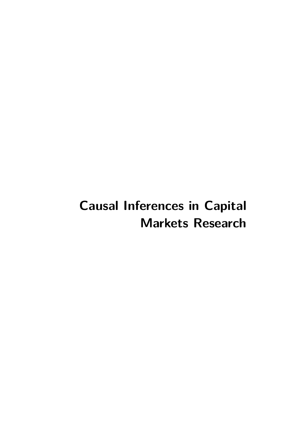# **Causal Inferences in Capital Markets Research**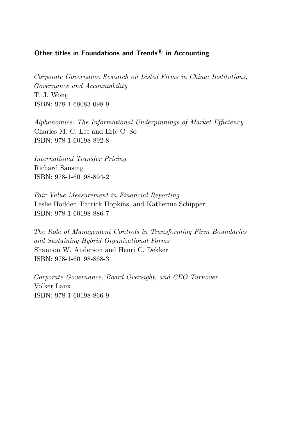#### **Other titles in Foundations and Trends <sup>R</sup> in Accounting**

*Corporate Governance Research on Listed Firms in China: Institutions, Governance and Accountability* T. J. Wong ISBN: 978-1-68083-098-9

*Alphanomics: The Informational Underpinnings of Market Efficiency* Charles M. C. Lee and Eric C. So ISBN: 978-1-60198-892-8

*International Transfer Pricing* Richard Sansing ISBN: 978-1-60198-894-2

*Fair Value Measurement in Financial Reporting* Leslie Hodder, Patrick Hopkins, and Katherine Schipper ISBN: 978-1-60198-886-7

*The Role of Management Controls in Transforming Firm Boundaries and Sustaining Hybrid Organizational Forms* Shannon W. Anderson and Henri C. Dekker ISBN: 978-1-60198-868-3

*Corporate Governance, Board Oversight, and CEO Turnover* Volker Laux ISBN: 978-1-60198-866-9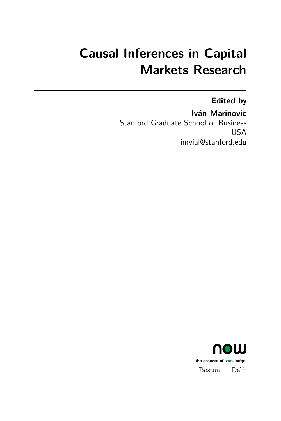# **Causal Inferences in Capital Markets Research**

**Edited by Iván Marinovic** Stanford Graduate School of Business USA imvial@stanford.edu

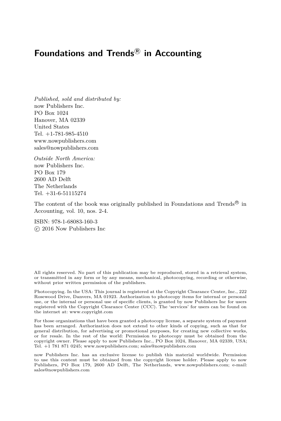## **Foundations and Trends <sup>R</sup> in Accounting**

*Published, sold and distributed by:* now Publishers Inc. PO Box 1024 Hanover, MA 02339 United States Tel. +1-781-985-4510 www.nowpublishers.com sales@nowpublishers.com

*Outside North America:* now Publishers Inc. PO Box 179 2600 AD Delft The Netherlands Tel. +31-6-51115274

The content of the book was originally published in Foundations and Trends<sup>®</sup> in Accounting, vol. 10, nos. 2-4.

ISBN: 978-1-68083-160-3 c 2016 Now Publishers Inc

All rights reserved. No part of this publication may be reproduced, stored in a retrieval system, or transmitted in any form or by any means, mechanical, photocopying, recording or otherwise, without prior written permission of the publishers.

Photocopying. In the USA: This journal is registered at the Copyright Clearance Center, Inc., 222 Rosewood Drive, Danvers, MA 01923. Authorization to photocopy items for internal or personal use, or the internal or personal use of specific clients, is granted by now Publishers Inc for users registered with the Copyright Clearance Center (CCC). The 'services' for users can be found on the internet at: www.copyright.com

For those organizations that have been granted a photocopy license, a separate system of payment has been arranged. Authorization does not extend to other kinds of copying, such as that for general distribution, for advertising or promotional purposes, for creating new collective works, or for resale. In the rest of the world: Permission to photocopy must be obtained from the copyright owner. Please apply to now Publishers Inc., PO Box 1024, Hanover, MA 02339, USA; Tel. +1 781 871 0245; www.nowpublishers.com; sales@nowpublishers.com

now Publishers Inc. has an exclusive license to publish this material worldwide. Permission to use this content must be obtained from the copyright license holder. Please apply to now Publishers, PO Box 179, 2600 AD Delft, The Netherlands, www.nowpublishers.com; e-mail: sales@nowpublishers.com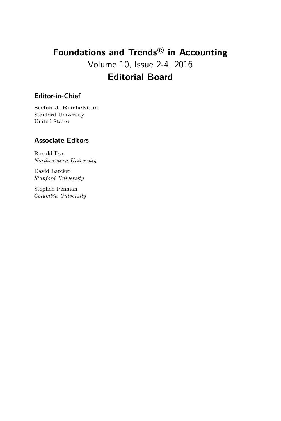## **Foundations and Trends <sup>R</sup> in Accounting** Volume 10, Issue 2-4, 2016 **Editorial Board**

#### **Editor-in-Chief**

**Stefan J. Reichelstein** Stanford University United States

#### **Associate Editors**

Ronald Dye *Northwestern University*

David Larcker *Stanford University*

Stephen Penman *Columbia University*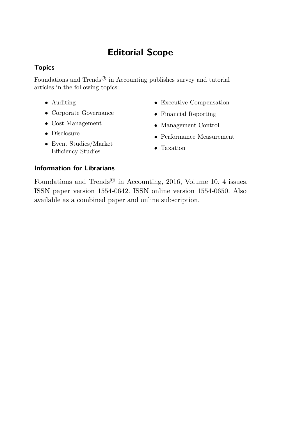## **Editorial Scope**

### **Topics**

Foundations and Trends<sup>®</sup> in Accounting publishes survey and tutorial articles in the following topics:

- Auditing
- Corporate Governance
- Cost Management
- Disclosure
- Event Studies/Market Efficiency Studies
- Executive Compensation
- Financial Reporting
- Management Control
- Performance Measurement
- Taxation

### **Information for Librarians**

Foundations and Trends<sup>®</sup> in Accounting, 2016, Volume 10, 4 issues. ISSN paper version 1554-0642. ISSN online version 1554-0650. Also available as a combined paper and online subscription.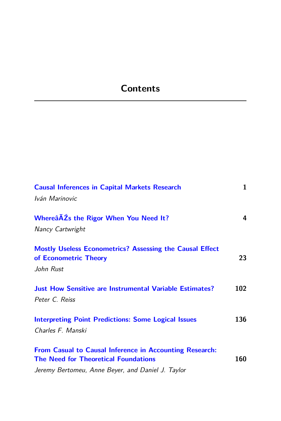## **Contents**

| <b>Causal Inferences in Capital Markets Research</b>                                                   | $\mathbf{1}$ |
|--------------------------------------------------------------------------------------------------------|--------------|
| Iván Marinovic                                                                                         |              |
| WhereaA2s the Rigor When You Need It?                                                                  | 4            |
| Nancy Cartwright                                                                                       |              |
| <b>Mostly Useless Econometrics? Assessing the Causal Effect</b><br>of Econometric Theory               | 23           |
| John Rust                                                                                              |              |
| <b>Just How Sensitive are Instrumental Variable Estimates?</b>                                         | 102          |
| Peter C. Reiss                                                                                         |              |
| <b>Interpreting Point Predictions: Some Logical Issues</b><br>Charles F. Manski                        | 136          |
| From Casual to Causal Inference in Accounting Research:<br><b>The Need for Theoretical Foundations</b> | 160          |
| Jeremy Bertomeu, Anne Beyer, and Daniel J. Taylor                                                      |              |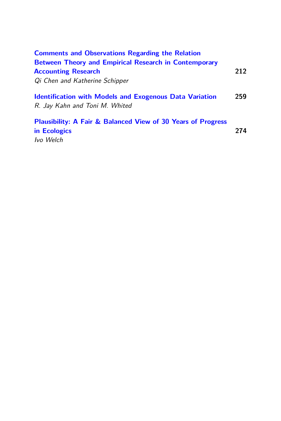| <b>Comments and Observations Regarding the Relation</b>                 |     |
|-------------------------------------------------------------------------|-----|
| <b>Between Theory and Empirical Research in Contemporary</b>            |     |
| <b>Accounting Research</b>                                              | 212 |
| Qi Chen and Katherine Schipper                                          |     |
| <b>Identification with Models and Exogenous Data Variation</b>          | 259 |
| R. Jay Kahn and Toni M. Whited                                          |     |
| <b>Plausibility: A Fair &amp; Balanced View of 30 Years of Progress</b> |     |
| in Ecologics                                                            | 274 |
| Ivo Welch                                                               |     |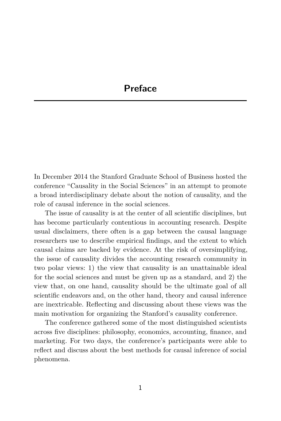## <span id="page-8-0"></span>**Preface**

In December 2014 the Stanford Graduate School of Business hosted the conference "Causality in the Social Sciences" in an attempt to promote a broad interdisciplinary debate about the notion of causality, and the role of causal inference in the social sciences.

The issue of causality is at the center of all scientific disciplines, but has become particularly contentious in accounting research. Despite usual disclaimers, there often is a gap between the causal language researchers use to describe empirical findings, and the extent to which causal claims are backed by evidence. At the risk of oversimplifying, the issue of causality divides the accounting research community in two polar views: 1) the view that causality is an unattainable ideal for the social sciences and must be given up as a standard, and 2) the view that, on one hand, causality should be the ultimate goal of all scientific endeavors and, on the other hand, theory and causal inference are inextricable. Reflecting and discussing about these views was the main motivation for organizing the Stanford's causality conference.

The conference gathered some of the most distinguished scientists across five disciplines: philosophy, economics, accounting, finance, and marketing. For two days, the conference's participants were able to reflect and discuss about the best methods for causal inference of social phenomena.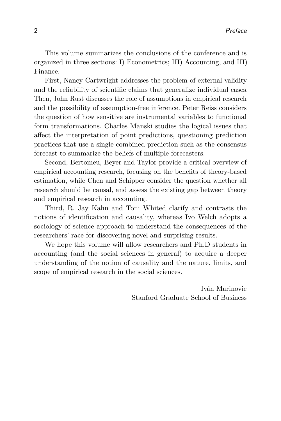This volume summarizes the conclusions of the conference and is organized in three sections: I) Econometrics; III) Accounting, and III) Finance.

First, Nancy Cartwright addresses the problem of external validity and the reliability of scientific claims that generalize individual cases. Then, John Rust discusses the role of assumptions in empirical research and the possibility of assumption-free inference. Peter Reiss considers the question of how sensitive are instrumental variables to functional form transformations. Charles Manski studies the logical issues that affect the interpretation of point predictions, questioning prediction practices that use a single combined prediction such as the consensus forecast to summarize the beliefs of multiple forecasters.

Second, Bertomeu, Beyer and Taylor provide a critical overview of empirical accounting research, focusing on the benefits of theory-based estimation, while Chen and Schipper consider the question whether all research should be causal, and assess the existing gap between theory and empirical research in accounting.

Third, R. Jay Kahn and Toni Whited clarify and contrasts the notions of identification and causality, whereas Ivo Welch adopts a sociology of science approach to understand the consequences of the researchers' race for discovering novel and surprising results.

We hope this volume will allow researchers and Ph.D students in accounting (and the social sciences in general) to acquire a deeper understanding of the notion of causality and the nature, limits, and scope of empirical research in the social sciences.

> Iván Marinovic Stanford Graduate School of Business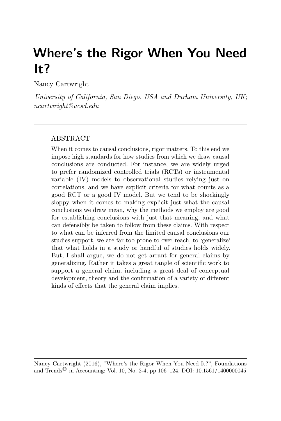## <span id="page-10-0"></span>**Where's the Rigor When You Need It?**

Nancy Cartwright

*University of California, San Diego, USA and Durham University, UK; ncartwright@ucsd.edu*

#### ABSTRACT

When it comes to causal conclusions, rigor matters. To this end we impose high standards for how studies from which we draw causal conclusions are conducted. For instance, we are widely urged to prefer randomized controlled trials (RCTs) or instrumental variable (IV) models to observational studies relying just on correlations, and we have explicit criteria for what counts as a good RCT or a good IV model. But we tend to be shockingly sloppy when it comes to making explicit just what the causal conclusions we draw mean, why the methods we employ are good for establishing conclusions with just that meaning, and what can defensibly be taken to follow from these claims. With respect to what can be inferred from the limited causal conclusions our studies support, we are far too prone to over reach, to 'generalize' that what holds in a study or handful of studies holds widely. But, I shall argue, we do not get arrant for general claims by generalizing. Rather it takes a great tangle of scientific work to support a general claim, including a great deal of conceptual development, theory and the confirmation of a variety of different kinds of effects that the general claim implies.

Nancy Cartwright (2016), "Where's the Rigor When You Need It?", Foundations and Trends<sup>®</sup> in Accounting: Vol. 10, No. 2-4, pp 106–124. DOI: 10.1561/1400000045.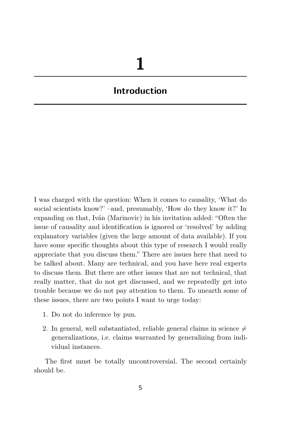## **Introduction**

I was charged with the question: When it comes to causality, 'What do social scientists know?' –and, presumably, 'How do they know it?' In expanding on that, Iván (Marinovic) in his invitation added: "Often the issue of causality and identification is ignored or 'resolved' by adding explanatory variables (given the large amount of data available). If you have some specific thoughts about this type of research I would really appreciate that you discuss them." There are issues here that need to be talked about. Many are technical, and you have here real experts to discuss them. But there are other issues that are not technical, that really matter, that do not get discussed, and we repeatedly get into trouble because we do not pay attention to them. To unearth some of these issues, there are two points I want to urge today:

- 1. Do not do inference by pun.
- 2. In general, well substantiated, reliable general claims in science  $\neq$ generalizations, i.e. claims warranted by generalizing from individual instances.

The first must be totally uncontroversial. The second certainly should be.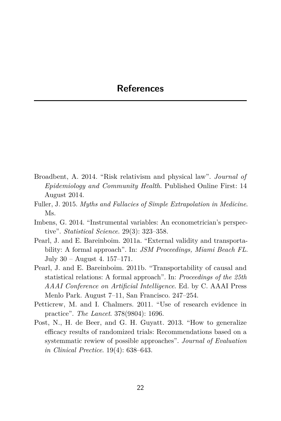## **References**

- Broadbent, A. 2014. "Risk relativism and physical law". *Journal of Epidemiology and Community Health*. Published Online First: 14 August 2014.
- Fuller, J. 2015. *Myths and Fallacies of Simple Extrapolation in Medicine*. Ms.
- Imbens, G. 2014. "Instrumental variables: An econometrician's perspective". *Statistical Science*. 29(3): 323–358.
- Pearl, J. and E. Bareinboim. 2011a. "External validity and transportability: A formal approach". In: *JSM Proceedings, Miami Beach FL*. July 30 – August 4. 157–171.
- Pearl, J. and E. Bareinboim. 2011b. "Transportability of causal and statistical relations: A formal approach". In: *Proceedings of the 25th AAAI Conference on Artificial Intelligence*. Ed. by C. AAAI Press Menlo Park. August 7–11, San Francisco. 247–254.
- Petticrew, M. and I. Chalmers. 2011. "Use of research evidence in practice". *The Lancet*. 378(9804): 1696.
- Post, N., H. de Beer, and G. H. Guyatt. 2013. "How to generalize efficacy results of randomized trials: Recommendations based on a systemmatic rewiew of possible approaches". *Journal of Evaluation in Clinical Prectice*. 19(4): 638–643.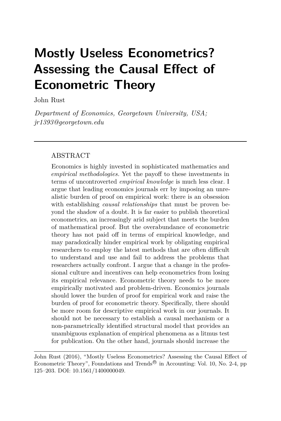# <span id="page-13-0"></span>**Mostly Useless Econometrics? Assessing the Causal Effect of Econometric Theory**

John Rust

*Department of Economics, Georgetown University, USA; jr1393@georgetown.edu*

#### ABSTRACT

Economics is highly invested in sophisticated mathematics and *empirical methodologies.* Yet the payoff to these investments in terms of uncontroverted *empirical knowledge* is much less clear. I argue that leading economics journals err by imposing an unrealistic burden of proof on empirical work: there is an obsession with establishing *causal relationships* that must be proven beyond the shadow of a doubt. It is far easier to publish theoretical econometrics, an increasingly arid subject that meets the burden of mathematical proof. But the overabundance of econometric theory has not paid off in terms of empirical knowledge, and may paradoxically hinder empirical work by obligating empirical researchers to employ the latest methods that are often difficult to understand and use and fail to address the problems that researchers actually confront. I argue that a change in the professional culture and incentives can help econometrics from losing its empirical relevance. Econometric theory needs to be more empirically motivated and problem-driven. Economics journals should lower the burden of proof for empirical work and raise the burden of proof for econometric theory. Specifically, there should be more room for descriptive empirical work in our journals. It should not be necessary to establish a causal mechanism or a non-parametrically identified structural model that provides an unambiguous explanation of empirical phenomena as a litmus test for publication. On the other hand, journals should increase the

John Rust (2016), "Mostly Useless Econometrics? Assessing the Causal Effect of Econometric Theory", Foundations and Trends<sup>®</sup> in Accounting: Vol. 10, No. 2-4, pp 125–203. DOI: 10.1561/1400000049.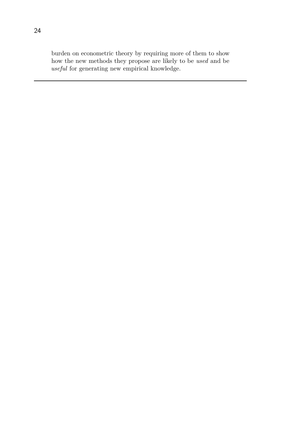burden on econometric theory by requiring more of them to show how the new methods they propose are likely to be *used* and be *useful* for generating new empirical knowledge.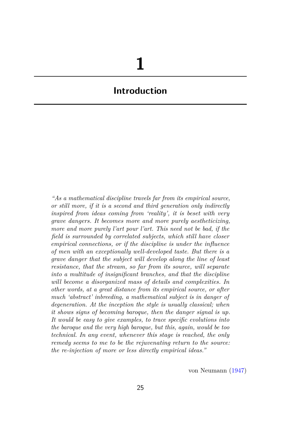## **Introduction**

*"As a mathematical discipline travels far from its empirical source, or still more, if it is a second and third generation only indirectly inspired from ideas coming from 'reality', it is beset with very grave dangers. It becomes more and more purely aestheticizing, more and more purely l'art pour l'art. This need not be bad, if the field is surrounded by correlated subjects, which still have closer empirical connections, or if the discipline is under the influence of men with an exceptionally well-developed taste. But there is a grave danger that the subject will develop along the line of least resistance, that the stream, so far from its source, will separate into a multitude of insignificant branches, and that the discipline will become a disorganized mass of details and complexities. In other words, at a great distance from its empirical source, or after much 'abstract' inbreeding, a mathematical subject is in danger of degeneration. At the inception the style is usually classical; when it shows signs of becoming baroque, then the danger signal is up. It would be easy to give examples, to trace specific evolutions into the baroque and the very high baroque, but this, again, would be too technical. In any event, whenever this stage is reached, the only remedy seems to me to be the rejuvenating return to the source: the re-injection of more or less directly empirical ideas."*

von Neumann (1947)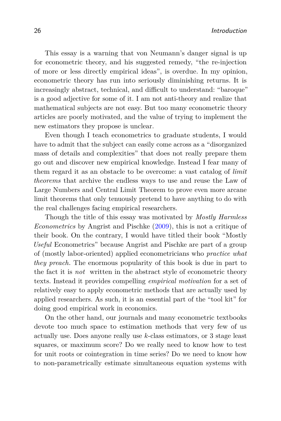This essay is a warning that von Neumann's danger signal is up for econometric theory, and his suggested remedy, "the re-injection of more or less directly empirical ideas", is overdue. In my opinion, econometric theory has run into seriously diminishing returns. It is increasingly abstract, technical, and difficult to understand: "baroque" is a good adjective for some of it. I am not anti-theory and realize that mathematical subjects are not easy. But too many econometric theory articles are poorly motivated, and the value of trying to implement the new estimators they propose is unclear.

Even though I teach econometrics to graduate students, I would have to admit that the subject can easily come across as a "disorganized mass of details and complexities" that does not really prepare them go out and discover new empirical knowledge. Instead I fear many of them regard it as an obstacle to be overcome: a vast catalog of *limit theorems* that archive the endless ways to use and reuse the Law of Large Numbers and Central Limit Theorem to prove even more arcane limit theorems that only tenuously pretend to have anything to do with the real challenges facing empirical researchers.

Though the title of this essay was motivated by *Mostly Harmless Econometrics* by Angrist and Pischke (2009), this is not a critique of their book. On the contrary, I would have titled their book "Mostly *Useful* Econometrics" because Angrist and Pischke are part of a group of (mostly labor-oriented) applied econometricians who *practice what they preach.* The enormous popularity of this book is due in part to the fact it is *not* written in the abstract style of econometric theory texts. Instead it provides compelling *empirical motivation* for a set of relatively easy to apply econometric methods that are actually used by applied researchers. As such, it is an essential part of the "tool kit" for doing good empirical work in economics.

On the other hand, our journals and many econometric textbooks devote too much space to estimation methods that very few of us actually use. Does anyone really use *k*-class estimators, or 3 stage least squares, or maximum score? Do we really need to know how to test for unit roots or cointegration in time series? Do we need to know how to non-parametrically estimate simultaneous equation systems with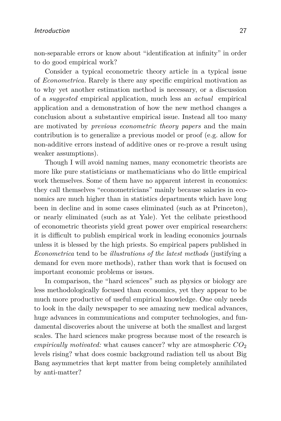non-separable errors or know about "identification at infinity" in order to do good empirical work?

Consider a typical econometric theory article in a typical issue of *Econometrica.* Rarely is there any specific empirical motivation as to why yet another estimation method is necessary, or a discussion of a *suggested* empirical application, much less an *actual* empirical application and a demonstration of how the new method changes a conclusion about a substantive empirical issue. Instead all too many are motivated by *previous econometric theory papers* and the main contribution is to generalize a previous model or proof (e.g. allow for non-additive errors instead of additive ones or re-prove a result using weaker assumptions).

Though I will avoid naming names, many econometric theorists are more like pure statisticians or mathematicians who do little empirical work themselves. Some of them have no apparent interest in economics: they call themselves "econometricians" mainly because salaries in economics are much higher than in statistics departments which have long been in decline and in some cases eliminated (such as at Princeton), or nearly eliminated (such as at Yale). Yet the celibate priesthood of econometric theorists yield great power over empirical researchers: it is difficult to publish empirical work in leading economics journals unless it is blessed by the high priests. So empirical papers published in *Econometrica* tend to be *illustrations of the latest methods* (justifying a demand for even more methods), rather than work that is focused on important economic problems or issues.

In comparison, the "hard sciences" such as physics or biology are less methodologically focused than economics, yet they appear to be much more productive of useful empirical knowledge. One only needs to look in the daily newspaper to see amazing new medical advances, huge advances in communications and computer technologies, and fundamental discoveries about the universe at both the smallest and largest scales. The hard sciences make progress because most of the research is *empirically motivated:* what causes cancer? why are atmospheric  $CO<sub>2</sub>$ levels rising? what does cosmic background radiation tell us about Big Bang asymmetries that kept matter from being completely annihilated by anti-matter?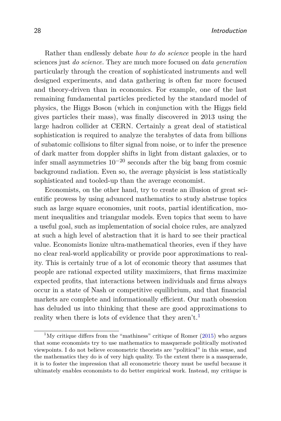Rather than endlessly debate *how to do science* people in the hard sciences just *do science.* They are much more focused on *data generation* particularly through the creation of sophisticated instruments and well designed experiments, and data gathering is often far more focused and theory-driven than in economics. For example, one of the last remaining fundamental particles predicted by the standard model of physics, the Higgs Boson (which in conjunction with the Higgs field gives particles their mass), was finally discovered in 2013 using the large hadron collider at CERN. Certainly a great deal of statistical sophistication is required to analyze the terabytes of data from billions of subatomic collisions to filter signal from noise, or to infer the presence of dark matter from doppler shifts in light from distant galaxies, or to infer small asymmetries  $10^{-20}$  seconds after the big bang from cosmic background radiation. Even so, the average physicist is less statistically sophisticated and tooled-up than the average economist.

Economists, on the other hand, try to create an illusion of great scientific prowess by using advanced mathematics to study abstruse topics such as large square economies, unit roots, partial identification, moment inequalities and triangular models. Even topics that seem to have a useful goal, such as implementation of social choice rules, are analyzed at such a high level of abstraction that it is hard to see their practical value. Economists lionize ultra-mathematical theories, even if they have no clear real-world applicability or provide poor approximations to reality. This is certainly true of a lot of economic theory that assumes that people are rational expected utility maximizers, that firms maximize expected profits, that interactions between individuals and firms always occur in a state of Nash or competitive equilibrium, and that financial markets are complete and informationally efficient. Our math obsession has deluded us into thinking that these are good approximations to reality when there is lots of evidence that they aren't.<sup>1</sup>

 $1\,\mathrm{My}$  critique differs from the "mathiness" critique of Romer (2015) who argues that some economists try to use mathematics to masquerade politically motivated viewpoints. I do not believe econometric theorists are "political" in this sense, and the mathematics they do is of very high quality. To the extent there is a masquerade, it is to foster the impression that all econometric theory must be useful because it ultimately enables economists to do better empirical work. Instead, my critique is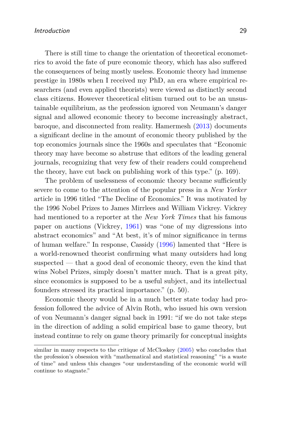There is still time to change the orientation of theoretical econometrics to avoid the fate of pure economic theory, which has also suffered the consequences of being mostly useless. Economic theory had immense prestige in 1980s when I received my PhD, an era where empirical researchers (and even applied theorists) were viewed as distinctly second class citizens. However theoretical elitism turned out to be an unsustainable equilibrium, as the profession ignored von Neumann's danger signal and allowed economic theory to become increasingly abstract, baroque, and disconnected from reality. Hamermesh (2013) documents a significant decline in the amount of economic theory published by the top economics journals since the 1960s and speculates that "Economic theory may have become so abstruse that editors of the leading general journals, recognizing that very few of their readers could comprehend the theory, have cut back on publishing work of this type." (p. 169).

The problem of uselessness of economic theory became sufficiently severe to come to the attention of the popular press in a *New Yorker* article in 1996 titled "The Decline of Economics." It was motivated by the 1996 Nobel Prizes to James Mirrlees and William Vickrey. Vickrey had mentioned to a reporter at the *New York Times* that his famous paper on auctions (Vickrey, 1961) was "one of my digressions into abstract economics" and "At best, it's of minor significance in terms of human welfare." In response, Cassidy (1996) lamented that "Here is a world-renowned theorist confirming what many outsiders had long suspected — that a good deal of economic theory, even the kind that wins Nobel Prizes, simply doesn't matter much. That is a great pity, since economics is supposed to be a useful subject, and its intellectual founders stressed its practical importance." (p. 50).

Economic theory would be in a much better state today had profession followed the advice of Alvin Roth, who issued his own version of von Neumann's danger signal back in 1991: "if we do not take steps in the direction of adding a solid empirical base to game theory, but instead continue to rely on game theory primarily for conceptual insights

similar in many respects to the critique of McCloskey (2005) who concludes that the profession's obsession with "mathematical and statistical reasoning" "is a waste of time" and unless this changes "our understanding of the economic world will continue to stagnate."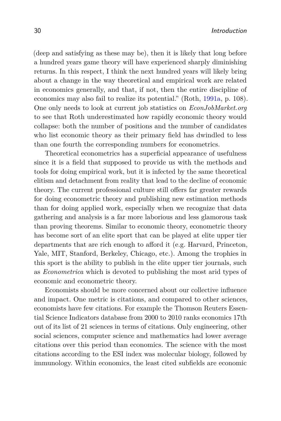(deep and satisfying as these may be), then it is likely that long before a hundred years game theory will have experienced sharply diminishing returns. In this respect, I think the next hundred years will likely bring about a change in the way theoretical and empirical work are related in economics generally, and that, if not, then the entire discipline of economics may also fail to realize its potential." (Roth, 1991a, p. 108). One only needs to look at current job statistics on *EconJobMarket.org* to see that Roth underestimated how rapidly economic theory would collapse: both the number of positions and the number of candidates who list economic theory as their primary field has dwindled to less than one fourth the corresponding numbers for econometrics.

Theoretical econometrics has a superficial appearance of usefulness since it is a field that supposed to provide us with the methods and tools for doing empirical work, but it is infected by the same theoretical elitism and detachment from reality that lead to the decline of economic theory. The current professional culture still offers far greater rewards for doing econometric theory and publishing new estimation methods than for doing applied work, especially when we recognize that data gathering and analysis is a far more laborious and less glamorous task than proving theorems. Similar to economic theory, econometric theory has become sort of an elite sport that can be played at elite upper tier departments that are rich enough to afford it (e.g. Harvard, Princeton, Yale, MIT, Stanford, Berkeley, Chicago, etc.). Among the trophies in this sport is the ability to publish in the elite upper tier journals, such as *Econometrica* which is devoted to publishing the most arid types of economic and econometric theory.

Economists should be more concerned about our collective influence and impact. One metric is citations, and compared to other sciences, economists have few citations. For example the Thomson Reuters Essential Science Indicators database from 2000 to 2010 ranks economics 17th out of its list of 21 sciences in terms of citations. Only engineering, other social sciences, computer science and mathematics had lower average citations over this period than economics. The science with the most citations according to the ESI index was molecular biology, followed by immunology. Within economics, the least cited subfields are economic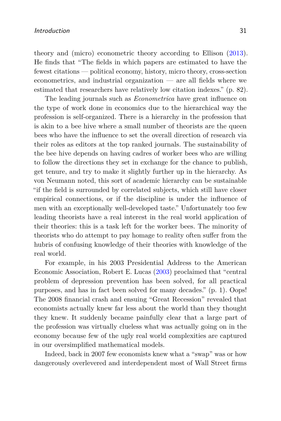theory and (micro) econometric theory according to Ellison (2013). He finds that "The fields in which papers are estimated to have the fewest citations — political economy, history, micro theory, cross-section econometrics, and industrial organization — are all fields where we estimated that researchers have relatively low citation indexes." (p. 82).

The leading journals such as *Econometrica* have great influence on the type of work done in economics due to the hierarchical way the profession is self-organized. There is a hierarchy in the profession that is akin to a bee hive where a small number of theorists are the queen bees who have the influence to set the overall direction of research via their roles as editors at the top ranked journals. The sustainability of the bee hive depends on having cadres of worker bees who are willing to follow the directions they set in exchange for the chance to publish, get tenure, and try to make it slightly further up in the hierarchy. As von Neumann noted, this sort of academic hierarchy can be sustainable "if the field is surrounded by correlated subjects, which still have closer empirical connections, or if the discipline is under the influence of men with an exceptionally well-developed taste." Unfortunately too few leading theorists have a real interest in the real world application of their theories: this is a task left for the worker bees. The minority of theorists who do attempt to pay homage to reality often suffer from the hubris of confusing knowledge of their theories with knowledge of the real world.

For example, in his 2003 Presidential Address to the American Economic Association, Robert E. Lucas (2003) proclaimed that "central problem of depression prevention has been solved, for all practical purposes, and has in fact been solved for many decades." (p. 1). Oops! The 2008 financial crash and ensuing "Great Recession" revealed that economists actually knew far less about the world than they thought they knew. It suddenly became painfully clear that a large part of the profession was virtually clueless what was actually going on in the economy because few of the ugly real world complexities are captured in our oversimplified mathematical models.

Indeed, back in 2007 few economists knew what a "swap" was or how dangerously overlevered and interdependent most of Wall Street firms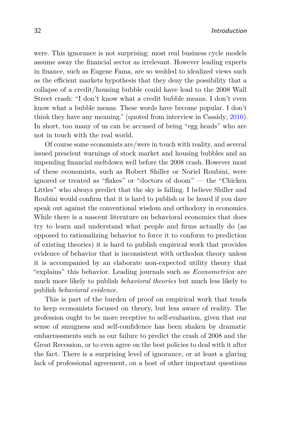were. This ignorance is not surprising: most real business cycle models assume away the financial sector as irrelevant. However leading experts in finance, such as Eugene Fama, are so wedded to idealized views such as the efficient markets hypothesis that they deny the possibility that a collapse of a credit/housing bubble could have lead to the 2008 Wall Street crash: "I don't know what a credit bubble means. I don't even know what a bubble means. These words have become popular. I don't think they have any meaning." (quoted from interview in Cassidy, 2010). In short, too many of us can be accused of being "egg heads" who are not in touch with the real world.

Of course some economists are/were in touch with reality, and several issued prescient warnings of stock market and housing bubbles and an impending financial meltdown well before the 2008 crash. However most of these economists, such as Robert Shiller or Noriel Roubini, were ignored or treated as "flakes" or "doctors of doom" — the "Chicken Littles" who always predict that the sky is falling. I believe Shiller and Roubini would confirm that it is hard to publish or be heard if you dare speak out against the conventional wisdom and orthodoxy in economics. While there is a nascent literature on behavioral economics that does try to learn and understand what people and firms actually do (as opposed to rationalizing behavior to force it to conform to prediction of existing theories) it is hard to publish empirical work that provides evidence of behavior that is inconsistent with orthodox theory unless it is accompanied by an elaborate non-expected utility theory that "explains" this behavior. Leading journals such as *Econometrica* are much more likely to publish *behavioral theories* but much less likely to publish *behavioral evidence.*

This is part of the burden of proof on empirical work that tends to keep economists focused on theory, but less aware of reality. The profession ought to be more receptive to self-evaluation, given that our sense of smugness and self-confidence has been shaken by dramatic embarrassments such as our failure to predict the crash of 2008 and the Great Recession, or to even agree on the best policies to deal with it after the fact. There is a surprising level of ignorance, or at least a glaring lack of professional agreement, on a host of other important questions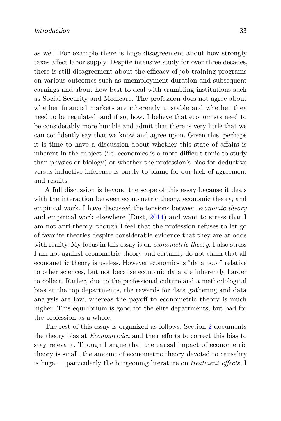as well. For example there is huge disagreement about how strongly taxes affect labor supply. Despite intensive study for over three decades, there is still disagreement about the efficacy of job training programs on various outcomes such as unemployment duration and subsequent earnings and about how best to deal with crumbling institutions such as Social Security and Medicare. The profession does not agree about whether financial markets are inherently unstable and whether they need to be regulated, and if so, how. I believe that economists need to be considerably more humble and admit that there is very little that we can confidently say that we know and agree upon. Given this, perhaps it is time to have a discussion about whether this state of affairs is inherent in the subject (i.e. economics is a more difficult topic to study than physics or biology) or whether the profession's bias for deductive versus inductive inference is partly to blame for our lack of agreement and results.

A full discussion is beyond the scope of this essay because it deals with the interaction between econometric theory, economic theory, and empirical work. I have discussed the tensions between *economic theory* and empirical work elsewhere (Rust, 2014) and want to stress that I am not anti-theory, though I feel that the profession refuses to let go of favorite theories despite considerable evidence that they are at odds with reality. My focus in this essay is on *econometric theory.* I also stress I am not against econometric theory and certainly do not claim that all econometric theory is useless. However economics is "data poor" relative to other sciences, but not because economic data are inherently harder to collect. Rather, due to the professional culture and a methodological bias at the top departments, the rewards for data gathering and data analysis are low, whereas the payoff to econometric theory is much higher. This equilibrium is good for the elite departments, but bad for the profession as a whole.

The rest of this essay is organized as follows. Section 2 documents the theory bias at *Econometrica* and their efforts to correct this bias to stay relevant. Though I argue that the causal impact of econometric theory is small, the amount of econometric theory devoted to causality is huge — particularly the burgeoning literature on *treatment effects.* I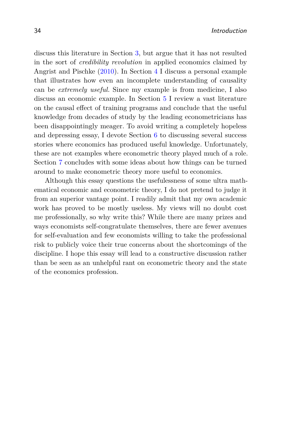discuss this literature in Section 3, but argue that it has not resulted in the sort of *credibility revolution* in applied economics claimed by Angrist and Pischke (2010). In Section 4 I discuss a personal example that illustrates how even an incomplete understanding of causality can be *extremely useful.* Since my example is from medicine, I also discuss an economic example. In Section 5 I review a vast literature on the causal effect of training programs and conclude that the useful knowledge from decades of study by the leading econometricians has been disappointingly meager. To avoid writing a completely hopeless and depressing essay, I devote Section  $6$  to discussing several success stories where economics has produced useful knowledge. Unfortunately, these are not examples where econometric theory played much of a role. Section 7 concludes with some ideas about how things can be turned around to make econometric theory more useful to economics.

Although this essay questions the usefulessness of some ultra mathematical economic and econometric theory, I do not pretend to judge it from an superior vantage point. I readily admit that my own academic work has proved to be mostly useless. My views will no doubt cost me professionally, so why write this? While there are many prizes and ways economists self-congratulate themselves, there are fewer avenues for self-evaluation and few economists willing to take the professional risk to publicly voice their true concerns about the shortcomings of the discipline. I hope this essay will lead to a constructive discussion rather than be seen as an unhelpful rant on econometric theory and the state of the economics profession.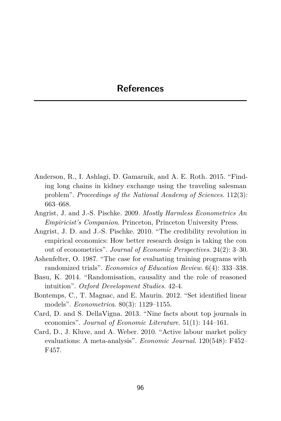### **References**

- Anderson, R., I. Ashlagi, D. Gamarnik, and A. E. Roth. 2015. "Finding long chains in kidney exchange using the traveling salesman problem". *Proceedings of the National Academy of Sciences*. 112(3): 663–668.
- Angrist, J. and J.-S. Pischke. 2009. *Mostly Harmless Econometrics An Empiricist's Companion*. Princeton, Princeton University Press.
- Angrist, J. D. and J.-S. Pischke. 2010. "The credibility revolution in empirical economics: How better research design is taking the con out of econometrics". *Journal of Economic Perspectives*. 24(2): 3–30.
- Ashenfelter, O. 1987. "The case for evaluating training programs with randomized trials". *Economics of Education Review*. 6(4): 333–338.
- Basu, K. 2014. "Randomisation, causality and the role of reasoned intuition". *Oxford Development Studies*. 42-4.
- Bontemps, C., T. Magnac, and E. Maurin. 2012. "Set identified linear models". *Econometrica*. 80(3): 1129–1155.
- Card, D. and S. DellaVigna. 2013. "Nine facts about top journals in economics". *Journal of Economic Literature*. 51(1): 144–161.
- Card, D., J. Kluve, and A. Weber. 2010. "Active labour market policy evaluations: A meta-analysis". *Economic Journal*. 120(548): F452– F457.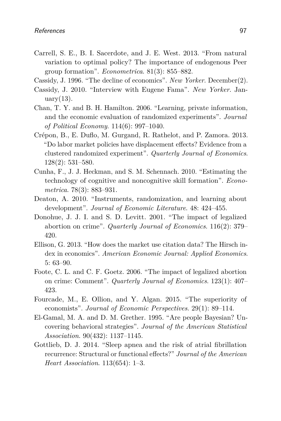- Carrell, S. E., B. I. Sacerdote, and J. E. West. 2013. "From natural variation to optimal policy? The importance of endogenous Peer group formation". *Econometrica*. 81(3): 855–882.
- Cassidy, J. 1996. "The decline of economics". *New Yorker*. December(2).
- Cassidy, J. 2010. "Interview with Eugene Fama". *New Yorker*. Jan- $\arctan(13)$ .
- Chan, T. Y. and B. H. Hamilton. 2006. "Learning, private information, and the economic evaluation of randomized experiments". *Journal of Political Economy*. 114(6): 997–1040.
- Crépon, B., E. Duflo, M. Gurgand, R. Rathelot, and P. Zamora. 2013. "Do labor market policies have displacement effects? Evidence from a clustered randomized experiment". *Quarterly Journal of Economics*. 128(2): 531–580.
- Cunha, F., J. J. Heckman, and S. M. Schennach. 2010. "Estimating the technology of cognitive and noncognitive skill formation". *Econometrica*. 78(3): 883–931.
- Deaton, A. 2010. "Instruments, randomization, and learning about development". *Journal of Economic Literature*. 48: 424–455.
- Donohue, J. J. I. and S. D. Levitt. 2001. "The impact of legalized abortion on crime". *Quarterly Journal of Economics*. 116(2): 379– 420.
- Ellison, G. 2013. "How does the market use citation data? The Hirsch index in economics". *American Economic Journal: Applied Economics*. 5: 63–90.
- Foote, C. L. and C. F. Goetz. 2006. "The impact of legalized abortion on crime: Comment". *Quarterly Journal of Economics*. 123(1): 407– 423.
- Fourcade, M., E. Ollion, and Y. Algan. 2015. "The superiority of economists". *Journal of Economic Perspectives*. 29(1): 89–114.
- El-Gamal, M. A. and D. M. Grether. 1995. "Are people Bayesian? Uncovering behavioral strategies". *Journal of the American Statistical Association*. 90(432): 1137–1145.
- Gottlieb, D. J. 2014. "Sleep apnea and the risk of atrial fibrillation recurrence: Structural or functional effects?" *Journal of the American Heart Association*. 113(654): 1–3.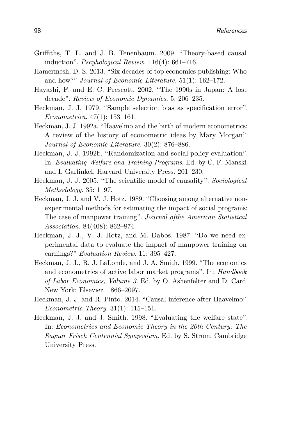- Griffiths, T. L. and J. B. Tenenbaum. 2009. "Theory-based causal induction". *Pscyhological Review*. 116(4): 661–716.
- Hamermesh, D. S. 2013. "Six decades of top economics publishing: Who and how?" *Journal of Economic Literature*. 51(1): 162–172.
- Hayashi, F. and E. C. Prescott. 2002. "The 1990s in Japan: A lost decade". *Review of Economic Dynamics*. 5: 206–235.
- Heckman, J. J. 1979. "Sample selection bias as specification error". *Econometrica*. 47(1): 153–161.
- Heckman, J. J. 1992a. "Haavelmo and the birth of modern econometrics: A review of the history of econometric ideas by Mary Morgan". *Journal of Economic Literature*. 30(2): 876–886.
- Heckman, J. J. 1992b. "Randomization and social policy evaluation". In: *Evaluating Welfare and Training Programs*. Ed. by C. F. Manski and I. Garfinkel. Harvard University Press. 201–230.
- Heckman, J. J. 2005. "The scientific model of causality". *Sociological Methodology*. 35: 1–97.
- Heckman, J. J. and V. J. Hotz. 1989. "Choosing among alternative nonexperimental methods for estimating the impact of social programs: The case of manpower training". *Journal ofthe American Statistical Association*. 84(408): 862–874.
- Heckman, J. J., V. J. Hotz, and M. Dabos. 1987. "Do we need experimental data to evaluate the impact of manpower training on earnings?" *Evaluation Review*. 11: 395–427.
- Heckman, J. J., R. J. LaLonde, and J. A. Smith. 1999. "The economics and econometrics of active labor market programs". In: *Handbook of Labor Economics, Volume 3*. Ed. by O. Ashenfelter and D. Card. New York: Elsevier. 1866–2097.
- Heckman, J. J. and R. Pinto. 2014. "Causal inference after Haavelmo". *Econometric Theory*. 31(1): 115–151.
- Heckman, J. J. and J. Smith. 1998. "Evaluating the welfare state". In: *Econometrics and Economic Theory in the 20th Century: The Ragnar Frisch Centennial Symposium*. Ed. by S. Strom. Cambridge University Press.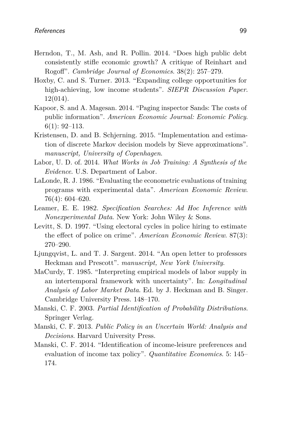- Herndon, T., M. Ash, and R. Pollin. 2014. "Does high public debt consistently stifle economic growth? A critique of Reinhart and Rogoff". *Cambridge Journal of Economics*. 38(2): 257–279.
- Hoxby, C. and S. Turner. 2013. "Expanding college opportunities for high-achieving, low income students". *SIEPR Discussion Paper*. 12(014).
- Kapoor, S. and A. Magesan. 2014. "Paging inspector Sands: The costs of public information". *American Economic Journal: Economic Policy*. 6(1): 92–113.
- Kristensen, D. and B. Schjerning. 2015. "Implementation and estimation of discrete Markov decision models by Sieve approximations". *manuscript, University of Copenhagen*.
- Labor, U. D. of. 2014. *What Works in Job Training: A Synthesis of the Evidence*. U.S. Department of Labor.
- LaLonde, R. J. 1986. "Evaluating the econometric evaluations of training programs with experimental data". *American Economic Review*. 76(4): 604–620.
- Leamer, E. E. 1982. *Specification Searches: Ad Hoc Inference with Nonexperimental Data*. New York: John Wiley & Sons.
- Levitt, S. D. 1997. "Using electoral cycles in police hiring to estimate the effect of police on crime". *American Economic Review*. 87(3): 270–290.
- Ljungqvist, L. and T. J. Sargent. 2014. "An open letter to professors Heckman and Prescott". *manuscript, New York University*.
- MaCurdy, T. 1985. "Interpreting empirical models of labor supply in an intertemporal framework with uncertainty". In: *Longitudinal Analysis of Labor Market Data*. Ed. by J. Heckman and B. Singer. Cambridge University Press. 148–170.
- Manski, C. F. 2003. *Partial Identification of Probability Distributions*. Springer Verlag.
- Manski, C. F. 2013. *Public Policy in an Uncertain World: Analysis and Decisions*. Harvard University Press.
- Manski, C. F. 2014. "Identification of income-leisure preferences and evaluation of income tax policy". *Quantitative Economics*. 5: 145– 174.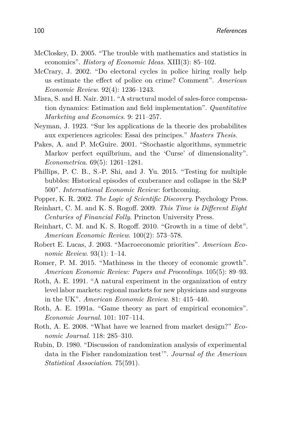- McCloskey, D. 2005. "The trouble with mathematics and statistics in economics". *History of Economic Ideas*. XIII(3): 85–102.
- McCrary, J. 2002. "Do electoral cycles in police hiring really help us estimate the effect of police on crime? Comment". *American Economic Review*. 92(4): 1236–1243.
- Misra, S. and H. Nair. 2011. "A structural model of sales-force compensation dynamics: Estimation and field implementation". *Quantitative Marketing and Economics*. 9: 211–257.
- Neyman, J. 1923. "Sur les applications de la theorie des probabilites aux experiences agricoles: Essai des principes." *Masters Thesis*.
- Pakes, A. and P. McGuire. 2001. "Stochastic algorithms, symmetric Markov perfect equilbrium, and the 'Curse' of dimensionality". *Econometrica*. 69(5): 1261–1281.
- Phillips, P. C. B., S.-P. Shi, and J. Yu. 2015. "Testing for multiple bubbles: Historical episodes of exuberance and collapse in the S&P 500". *International Economic Review*: forthcoming.
- Popper, K. R. 2002. *The Logic of Scientific Discovery*. Psychology Press.
- Reinhart, C. M. and K. S. Rogoff. 2009. *This Time is Different Eight Centuries of Financial Folly*. Princton University Press.
- Reinhart, C. M. and K. S. Rogoff. 2010. "Growth in a time of debt". *American Economic Review*. 100(2): 573–578.
- Robert E. Lucas, J. 2003. "Macroeconomic priorities". *American Economic Review*. 93(1): 1–14.
- Romer, P. M. 2015. "Mathiness in the theory of economic growth". *American Economic Review: Papers and Proceedings*. 105(5): 89–93.
- Roth, A. E. 1991. "A natural experiment in the organization of entry level labor markets: regional markets for new physicians and surgeons in the UK". *American Economic Review*. 81: 415–440.
- Roth, A. E. 1991a. "Game theory as part of empirical economics". *Economic Journal*. 101: 107–114.
- Roth, A. E. 2008. "What have we learned from market design?" *Economic Journal*. 118: 285–310.
- Rubin, D. 1980. "Discussion of randomization analysis of experimental data in the Fisher randomization test'". *Journal of the American Statistical Association*. 75(591).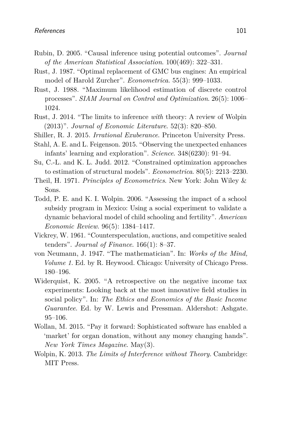- Rubin, D. 2005. "Causal inference using potential outcomes". *Journal of the American Statistical Association*. 100(469): 322–331.
- Rust, J. 1987. "Optimal replacement of GMC bus engines: An empirical model of Harold Zurcher". *Econometrica*. 55(3): 999–1033.
- Rust, J. 1988. "Maximum likelihood estimation of discrete control processes". *SIAM Journal on Control and Optimization*. 26(5): 1006– 1024.
- Rust, J. 2014. "The limits to inference *with* theory: A review of Wolpin (2013)". *Journal of Economic Literature*. 52(3): 820–850.
- Shiller, R. J. 2015. *Irrational Exuberance*. Princeton University Press.
- Stahl, A. E. and L. Feigenson. 2015. "Observing the unexpected enhances infants' learning and exploration". *Science*. 348(6230): 91–94.
- Su, C.-L. and K. L. Judd. 2012. "Constrained optimization approaches to estimation of structural models". *Econometrica*. 80(5): 2213–2230.
- Theil, H. 1971. *Principles of Econometrics*. New York: John Wiley & Sons.
- Todd, P. E. and K. I. Wolpin. 2006. "Assessing the impact of a school subsidy program in Mexico: Using a social experiment to validate a dynamic behavioral model of child schooling and fertility". *American Economic Review*. 96(5): 1384–1417.
- Vickrey, W. 1961. "Counterspeculation, auctions, and competitive sealed tenders". *Journal of Finance*. 166(1): 8–37.
- von Neumann, J. 1947. "The mathematician". In: *Works of the Mind, Volume 1*. Ed. by R. Heywood. Chicago: University of Chicago Press. 180–196.
- Widerquist, K. 2005. "A retrospective on the negative income tax experiments: Looking back at the most innovative field studies in social policy". In: *The Ethics and Economics of the Basic Income Guarantee*. Ed. by W. Lewis and Pressman. Aldershot: Ashgate. 95–106.
- Wollan, M. 2015. "Pay it forward: Sophisticated software has enabled a 'market' for organ donation, without any money changing hands". *New York Times Magazine*. May(3).
- Wolpin, K. 2013. *The Limits of Interference without Theory.* Cambridge: MIT Press.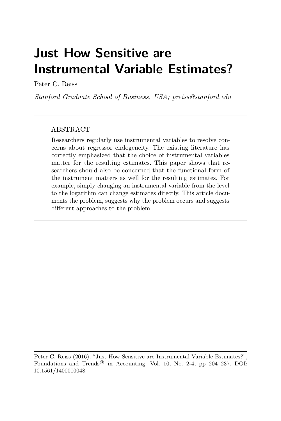## <span id="page-31-0"></span>**Just How Sensitive are Instrumental Variable Estimates?**

Peter C. Reiss

*Stanford Graduate School of Business, USA; preiss@stanford.edu*

#### ABSTRACT

Researchers regularly use instrumental variables to resolve concerns about regressor endogeneity. The existing literature has correctly emphasized that the choice of instrumental variables matter for the resulting estimates. This paper shows that researchers should also be concerned that the functional form of the instrument matters as well for the resulting estimates. For example, simply changing an instrumental variable from the level to the logarithm can change estimates directly. This article documents the problem, suggests why the problem occurs and suggests different approaches to the problem.

Peter C. Reiss (2016), "Just How Sensitive are Instrumental Variable Estimates?", Foundations and Trends<sup>®</sup> in Accounting: Vol. 10, No. 2-4, pp 204-237. DOI: 10.1561/1400000048.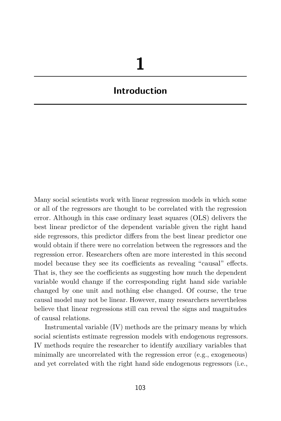## **Introduction**

Many social scientists work with linear regression models in which some or all of the regressors are thought to be correlated with the regression error. Although in this case ordinary least squares (OLS) delivers the best linear predictor of the dependent variable given the right hand side regressors, this predictor differs from the best linear predictor one would obtain if there were no correlation between the regressors and the regression error. Researchers often are more interested in this second model because they see its coefficients as revealing "causal" effects. That is, they see the coefficients as suggesting how much the dependent variable would change if the corresponding right hand side variable changed by one unit and nothing else changed. Of course, the true causal model may not be linear. However, many researchers nevertheless believe that linear regressions still can reveal the signs and magnitudes of causal relations.

Instrumental variable (IV) methods are the primary means by which social scientists estimate regression models with endogenous regressors. IV methods require the researcher to identify auxiliary variables that minimally are uncorrelated with the regression error (e.g., exogeneous) and yet correlated with the right hand side endogenous regressors (i.e.,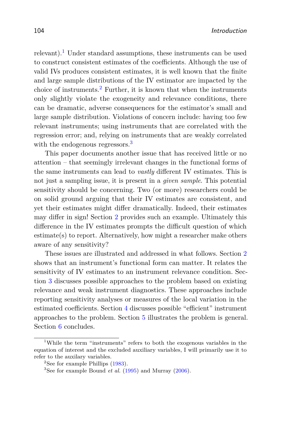relevant).<sup>1</sup> Under standard assumptions, these instruments can be used to construct consistent estimates of the coefficients. Although the use of valid IVs produces consistent estimates, it is well known that the finite and large sample distributions of the IV estimator are impacted by the choice of instruments.<sup>2</sup> Further, it is known that when the instruments only slightly violate the exogeneity and relevance conditions, there can be dramatic, adverse consequences for the estimator's small and large sample distribution. Violations of concern include: having too few relevant instruments; using instruments that are correlated with the regression error; and, relying on instruments that are weakly correlated with the endogenous regressors.<sup>3</sup>

This paper documents another issue that has received little or no attention – that seemingly irrelevant changes in the functional forms of the same instruments can lead to *vastly* different IV estimates. This is not just a sampling issue, it is present in a *given sample*. This potential sensitivity should be concerning. Two (or more) researchers could be on solid ground arguing that their IV estimates are consistent, and yet their estimates might differ dramatically. Indeed, their estimates may differ in sign! Section 2 provides such an example. Ultimately this difference in the IV estimates prompts the difficult question of which estimate(s) to report. Alternatively, how might a researcher make others aware of any sensitivity?

These issues are illustrated and addressed in what follows. Section 2 shows that an instrument's functional form can matter. It relates the sensitivity of IV estimates to an instrument relevance condition. Section 3 discusses possible approaches to the problem based on existing relevance and weak instrument diagnostics. These approaches include reporting sensitivity analyses or measures of the local variation in the estimated coefficients. Section 4 discusses possible "efficient" instrument approaches to the problem. Section 5 illustrates the problem is general. Section 6 concludes.

<sup>&</sup>lt;sup>1</sup>While the term "instruments" refers to both the exogenous variables in the equation of interest and the excluded auxiliary variables, I will primarily use it to refer to the auxilary variables.

<sup>&</sup>lt;sup>2</sup>See for example Phillips  $(1983)$ .

<sup>&</sup>lt;sup>3</sup>See for example Bound *et al.* (1995) and Murray (2006).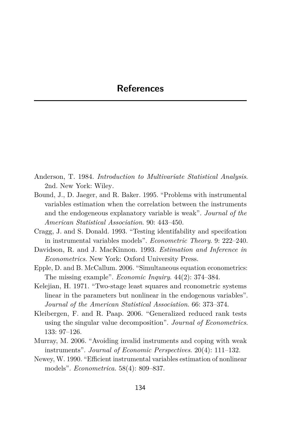## **References**

- Anderson, T. 1984. *Introduction to Multivariate Statistical Analysis*. 2nd. New York: Wiley.
- Bound, J., D. Jaeger, and R. Baker. 1995. "Problems with instrumental variables estimation when the correlation between the instruments and the endogeneous explanatory variable is weak". *Journal of the American Statistical Association*. 90: 443–450.
- Cragg, J. and S. Donald. 1993. "Testing identifability and specifcation in instrumental variables models". *Econometric Theory*. 9: 222–240.
- Davidson, R. and J. MacKinnon. 1993. *Estimation and Inference in Econometrics*. New York: Oxford University Press.
- Epple, D. and B. McCallum. 2006. "Simultaneous equation econometrics: The missing example". *Economic Inquiry*. 44(2): 374–384.
- Kelejian, H. 1971. "Two-stage least squares and rconometric systems linear in the parameters but nonlinear in the endogenous variables". *Journal of the American Statistical Association*. 66: 373–374.
- Kleibergen, F. and R. Paap. 2006. "Generalized reduced rank tests using the singular value decomposition". *Journal of Econometrics*. 133: 97–126.
- Murray, M. 2006. "Avoiding invalid instruments and coping with weak instruments". *Journal of Economic Perspectives*. 20(4): 111–132.
- Newey, W. 1990. "Efficient instrumental variables estimation of nonlinear models". *Econometrica*. 58(4): 809–837.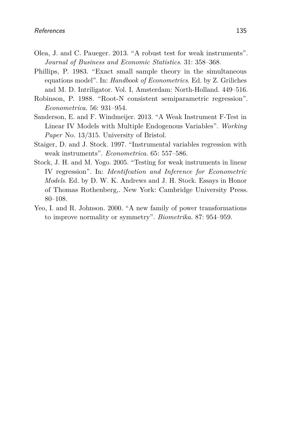- Olea, J. and C. Paueger. 2013. "A robust test for weak instruments". *Journal of Business and Economic Statistics*. 31: 358–368.
- Phillips, P. 1983. "Exact small sample theory in the simultaneous equations model". In: *Handbook of Econometrics*. Ed. by Z. Griliches and M. D. Intriligator. Vol. I, Amsterdam: North-Holland. 449–516.
- Robinson, P. 1988. "Root-N consistent semiparametric regression". *Econometrica*. 56: 931–954.
- Sanderson, E. and F. Windmeijer. 2013. "A Weak Instrument F-Test in Linear IV Models with Multiple Endogenous Variables". *Working Paper* No. 13/315. University of Bristol.
- Staiger, D. and J. Stock. 1997. "Instrumental variables regression with weak instruments". *Econometrica*. 65: 557–586.
- Stock, J. H. and M. Yogo. 2005. "Testing for weak instruments in linear IV regression". In: *Identifcation and Inference for Econometric Models*. Ed. by D. W. K. Andrews and J. H. Stock. Essays in Honor of Thomas Rothenberg,. New York: Cambridge University Press. 80–108.
- Yeo, I. and R. Johnson. 2000. "A new family of power transformations to improve normality or symmetry". *Biometrika*. 87: 954–959.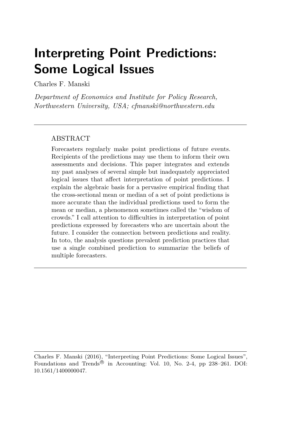## <span id="page-36-0"></span>**Interpreting Point Predictions: Some Logical Issues**

Charles F. Manski

*Department of Economics and Institute for Policy Research, Northwestern University, USA; cfmanski@northwestern.edu*

#### ABSTRACT

Forecasters regularly make point predictions of future events. Recipients of the predictions may use them to inform their own assessments and decisions. This paper integrates and extends my past analyses of several simple but inadequately appreciated logical issues that affect interpretation of point predictions. I explain the algebraic basis for a pervasive empirical finding that the cross-sectional mean or median of a set of point predictions is more accurate than the individual predictions used to form the mean or median, a phenomenon sometimes called the "wisdom of crowds." I call attention to difficulties in interpretation of point predictions expressed by forecasters who are uncertain about the future. I consider the connection between predictions and reality. In toto, the analysis questions prevalent prediction practices that use a single combined prediction to summarize the beliefs of multiple forecasters.

Charles F. Manski (2016), "Interpreting Point Predictions: Some Logical Issues", Foundations and Trends<sup>®</sup> in Accounting: Vol. 10, No. 2-4, pp 238-261. DOI: 10.1561/1400000047.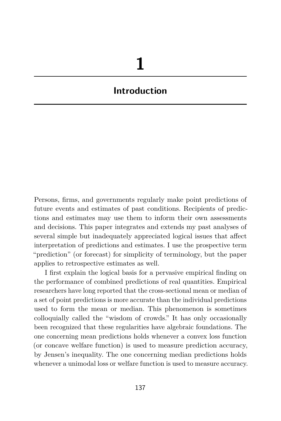### **Introduction**

Persons, firms, and governments regularly make point predictions of future events and estimates of past conditions. Recipients of predictions and estimates may use them to inform their own assessments and decisions. This paper integrates and extends my past analyses of several simple but inadequately appreciated logical issues that affect interpretation of predictions and estimates. I use the prospective term "prediction" (or forecast) for simplicity of terminology, but the paper applies to retrospective estimates as well.

I first explain the logical basis for a pervasive empirical finding on the performance of combined predictions of real quantities. Empirical researchers have long reported that the cross-sectional mean or median of a set of point predictions is more accurate than the individual predictions used to form the mean or median. This phenomenon is sometimes colloquially called the "wisdom of crowds." It has only occasionally been recognized that these regularities have algebraic foundations. The one concerning mean predictions holds whenever a convex loss function (or concave welfare function) is used to measure prediction accuracy, by Jensen's inequality. The one concerning median predictions holds whenever a unimodal loss or welfare function is used to measure accuracy.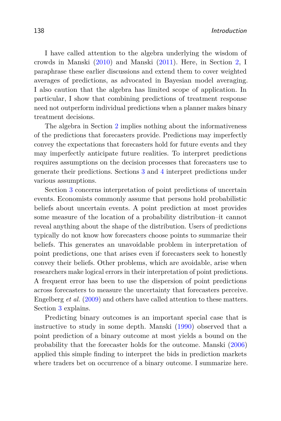I have called attention to the algebra underlying the wisdom of crowds in Manski (2010) and Manski (2011). Here, in Section 2, I paraphrase these earlier discussions and extend them to cover weighted averages of predictions, as advocated in Bayesian model averaging. I also caution that the algebra has limited scope of application. In particular, I show that combining predictions of treatment response need not outperform individual predictions when a planner makes binary treatment decisions.

The algebra in Section 2 implies nothing about the informativeness of the predictions that forecasters provide. Predictions may imperfectly convey the expectations that forecasters hold for future events and they may imperfectly anticipate future realities. To interpret predictions requires assumptions on the decision processes that forecasters use to generate their predictions. Sections 3 and 4 interpret predictions under various assumptions.

Section 3 concerns interpretation of point predictions of uncertain events. Economists commonly assume that persons hold probabilistic beliefs about uncertain events. A point prediction at most provides some measure of the location of a probability distribution–it cannot reveal anything about the shape of the distribution. Users of predictions typically do not know how forecasters choose points to summarize their beliefs. This generates an unavoidable problem in interpretation of point predictions, one that arises even if forecasters seek to honestly convey their beliefs. Other problems, which are avoidable, arise when researchers make logical errors in their interpretation of point predictions. A frequent error has been to use the dispersion of point predictions across forecasters to measure the uncertainty that forecasters perceive. Engelberg *et al.* (2009) and others have called attention to these matters. Section 3 explains.

Predicting binary outcomes is an important special case that is instructive to study in some depth. Manski (1990) observed that a point prediction of a binary outcome at most yields a bound on the probability that the forecaster holds for the outcome. Manski (2006) applied this simple finding to interpret the bids in prediction markets where traders bet on occurrence of a binary outcome. I summarize here.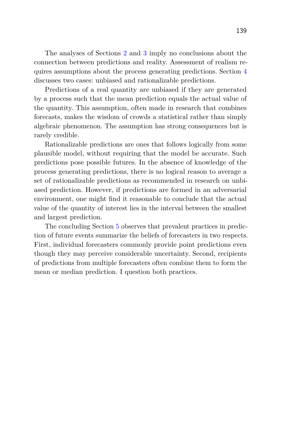The analyses of Sections 2 and 3 imply no conclusions about the connection between predictions and reality. Assessment of realism requires assumptions about the process generating predictions. Section 4 discusses two cases: unbiased and rationalizable predictions.

Predictions of a real quantity are unbiased if they are generated by a process such that the mean prediction equals the actual value of the quantity. This assumption, often made in research that combines forecasts, makes the wisdom of crowds a statistical rather than simply algebraic phenomenon. The assumption has strong consequences but is rarely credible.

Rationalizable predictions are ones that follows logically from some plausible model, without requiring that the model be accurate. Such predictions pose possible futures. In the absence of knowledge of the process generating predictions, there is no logical reason to average a set of rationalizable predictions as recommended in research on unbiased prediction. However, if predictions are formed in an adversarial environment, one might find it reasonable to conclude that the actual value of the quantity of interest lies in the interval between the smallest and largest prediction.

The concluding Section 5 observes that prevalent practices in prediction of future events summarize the beliefs of forecasters in two respects. First, individual forecasters commonly provide point predictions even though they may perceive considerable uncertainty. Second, recipients of predictions from multiple forecasters often combine them to form the mean or median prediction. I question both practices.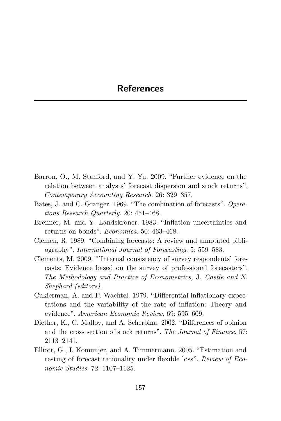## **References**

- Barron, O., M. Stanford, and Y. Yu. 2009. "Further evidence on the relation between analysts' forecast dispersion and stock returns". *Contemporary Accounting Research*. 26: 329–357.
- Bates, J. and C. Granger. 1969. "The combination of forecasts". *Operations Research Quarterly*. 20: 451–468.
- Brenner, M. and Y. Landskroner. 1983. "Inflation uncertainties and returns on bonds". *Economica*. 50: 463–468.
- Clemen, R. 1989. "Combining forecasts: A review and annotated bibliography". *International Journal of Forecasting*. 5: 559–583.
- Clements, M. 2009. "'Internal consistency of survey respondents' forecasts: Evidence based on the survey of professional forecasters". *The Methodology and Practice of Econometrics,* J*. Castle and N. Shephard (editors)*.
- Cukierman, A. and P. Wachtel. 1979. "Differential inflationary expectations and the variability of the rate of inflation: Theory and evidence". *American Economic Review*. 69: 595–609.
- Diether, K., C. Malloy, and A. Scherbina. 2002. "Differences of opinion and the cross section of stock returns". *The Journal of Finance*. 57: 2113–2141.
- Elliott, G., I. Komunjer, and A. Timmermann. 2005. "Estimation and testing of forecast rationality under flexible loss". *Review of Economic Studies*. 72: 1107–1125.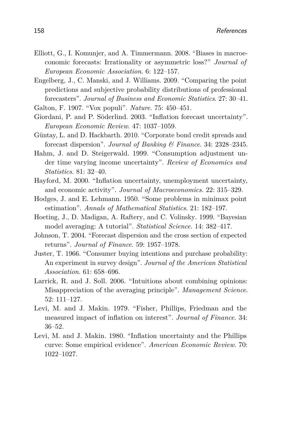- Elliott, G., I. Komunjer, and A. Timmermann. 2008. "Biases in macroeconomic forecasts: Irrationality or asymmetric loss?" *Journal of European Economic Association*. 6: 122–157.
- Engelberg, J., C. Manski, and J. Williams. 2009. "Comparing the point predictions and subjective probability distributions of professional forecasters". *Journal of Business and Economic Statistics*. 27: 30–41.
- Galton, F. 1907. "Vox populi". *Nature*. 75: 450–451.
- Giordani, P. and P. Söderlind. 2003. "Inflation forecast uncertainty". *European Economic Review*. 47: 1037–1059.
- Güntay, L. and D. Hackbarth. 2010. "Corporate bond credit spreads and forecast dispersion". *Journal of Banking & Finance*. 34: 2328–2345.
- Hahm, J. and D. Steigerwald. 1999. "Consumption adjustment under time varying income uncertainty". *Review of Economics and Statistics*. 81: 32–40.
- Hayford, M. 2000. "Inflation uncertainty, unemployment uncertainty, and economic activity". *Journal of Macroeconomics*. 22: 315–329.
- Hodges, J. and E. Lehmann. 1950. "Some problems in minimax point estimation". *Annals of Mathematical Statistics*. 21: 182–197.
- Hoeting, J., D. Madigan, A. Raftery, and C. Volinsky. 1999. "Bayesian model averaging: A tutorial". *Statistical Science*. 14: 382–417.
- Johnson, T. 2004. "Forecast dispersion and the cross section of expected returns". *Journal of Finance*. 59: 1957–1978.
- Juster, T. 1966. "Consumer buying intentions and purchase probability: An experiment in survey design". *Journal of the American Statistical Association*. 61: 658–696.
- Larrick, R. and J. Soll. 2006. "Intuitions about combining opinions: Misappreciation of the averaging principle". *Management Science*. 52: 111–127.
- Levi, M. and J. Makin. 1979. "Fisher, Phillips, Friedman and the measured impact of inflation on interest". *Journal of Finance*. 34: 36–52.
- Levi, M. and J. Makin. 1980. "Inflation uncertainty and the Phillips curve: Some empirical evidence". *American Economic Review*. 70: 1022–1027.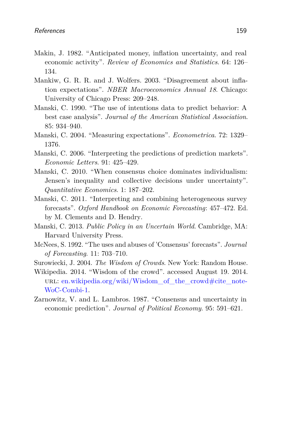- Makin, J. 1982. "Anticipated money, inflation uncertainty, and real economic activity". *Review of Economics and Statistics*. 64: 126– 134.
- Mankiw, G. R. R. and J. Wolfers. 2003. "Disagreement about inflation expectations". *NBER Macroeconomics Annual 18*. Chicago: University of Chicago Press: 209–248.
- Manski, C. 1990. "The use of intentions data to predict behavior: A best case analysis". *Journal of the American Statistical Association*. 85: 934–940.
- Manski, C. 2004. "Measuring expectations". *Econometrica*. 72: 1329– 1376.
- Manski, C. 2006. "Interpreting the predictions of prediction markets". *Economic Letters*. 91: 425–429.
- Manski, C. 2010. "When consensus choice dominates individualism: Jensen's inequality and collective decisions under uncertainty". *Quantitative Economics*. 1: 187–202.
- Manski, C. 2011. "Interpreting and combining heterogeneous survey forecasts". *Oxford Handbook on Economic Forecasting*: 457–472. Ed. by M. Clements and D. Hendry.
- Manski, C. 2013. *Public Policy in an Uncertain World*. Cambridge, MA: Harvard University Press.
- McNees, S. 1992. "The uses and abuses of 'Consensus' forecasts". *Journal of Forecasting*. 11: 703–710.
- Surowiecki, J. 2004. *The Wisdom of Crowds*. New York: Random House.
- Wikipedia. 2014. "Wisdom of the crowd". accessed August 19. 2014. url: en.wikipedia.org/wiki/Wisdom\_of\_the\_crowd#cite\_note-WoC-Combi-1.
- Zarnowitz, V. and L. Lambros. 1987. "Consensus and uncertainty in economic prediction". *Journal of Political Economy*. 95: 591–621.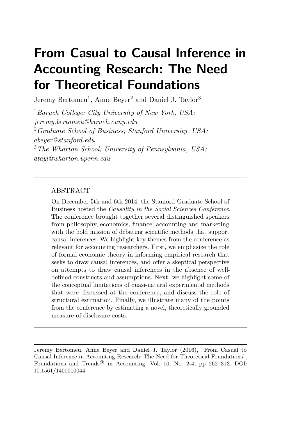# <span id="page-43-0"></span>**From Casual to Causal Inference in Accounting Research: The Need for Theoretical Foundations**

Jeremy Bertomeu<sup>1</sup>, Anne Beyer<sup>2</sup> and Daniel J. Taylor<sup>3</sup>

<sup>1</sup>*Baruch College; City University of New York, USA; jeremy.bertomeu@baruch.cuny.edu* <sup>2</sup>*Graduate School of Business; Stanford University, USA; abeyer@stanford.edu* <sup>3</sup>*The Wharton School; University of Pennsylvania, USA; dtayl@wharton.upenn.edu*

#### ABSTRACT

On December 5th and 6th 2014, the Stanford Graduate School of Business hosted the *Causality in the Social Sciences Conference*. The conference brought together several distinguished speakers from philosophy, economics, finance, accounting and marketing with the bold mission of debating scientific methods that support causal inferences. We highlight key themes from the conference as relevant for accounting researchers. First, we emphasize the role of formal economic theory in informing empirical research that seeks to draw causal inferences, and offer a skeptical perspective on attempts to draw causal inferences in the absence of welldefined constructs and assumptions. Next, we highlight some of the conceptual limitations of quasi-natural experimental methods that were discussed at the conference, and discuss the role of structural estimation. Finally, we illustrate many of the points from the conference by estimating a novel, theoretically grounded measure of disclosure costs.

Jeremy Bertomeu, Anne Beyer and Daniel J. Taylor (2016), "From Casual to Causal Inference in Accounting Research: The Need for Theoretical Foundations", Foundations and Trends<sup>®</sup> in Accounting: Vol. 10, No. 2-4, pp 262-313. DOI: 10.1561/1400000044.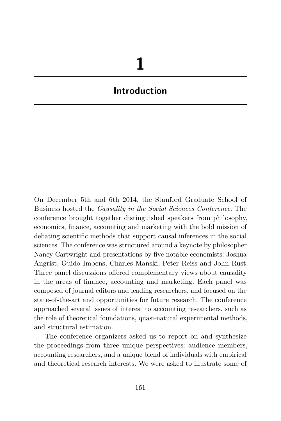## **Introduction**

On December 5th and 6th 2014, the Stanford Graduate School of Business hosted the *Causality in the Social Sciences Conference*. The conference brought together distinguished speakers from philosophy, economics, finance, accounting and marketing with the bold mission of debating scientific methods that support causal inferences in the social sciences. The conference was structured around a keynote by philosopher Nancy Cartwright and presentations by five notable economists: Joshua Angrist, Guido Imbens, Charles Manski, Peter Reiss and John Rust. Three panel discussions offered complementary views about causality in the areas of finance, accounting and marketing. Each panel was composed of journal editors and leading researchers, and focused on the state-of-the-art and opportunities for future research. The conference approached several issues of interest to accounting researchers, such as the role of theoretical foundations, quasi-natural experimental methods, and structural estimation.

The conference organizers asked us to report on and synthesize the proceedings from three unique perspectives: audience members, accounting researchers, and a unique blend of individuals with empirical and theoretical research interests. We were asked to illustrate some of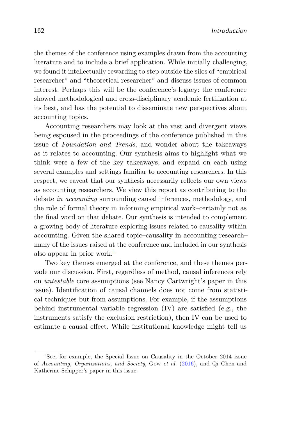the themes of the conference using examples drawn from the accounting literature and to include a brief application. While initially challenging, we found it intellectually rewarding to step outside the silos of "empirical researcher" and "theoretical researcher" and discuss issues of common interest. Perhaps this will be the conference's legacy: the conference showed methodological and cross-disciplinary academic fertilization at its best, and has the potential to disseminate new perspectives about accounting topics.

Accounting researchers may look at the vast and divergent views being espoused in the proceedings of the conference published in this issue of *Foundation and Trends*, and wonder about the takeaways as it relates to accounting. Our synthesis aims to highlight what we think were a few of the key takeaways, and expand on each using several examples and settings familiar to accounting researchers. In this respect, we caveat that our synthesis necessarily reflects our own views as accounting researchers. We view this report as contributing to the debate *in accounting* surrounding causal inferences, methodology, and the role of formal theory in informing empirical work–certainly not as the final word on that debate. Our synthesis is intended to complement a growing body of literature exploring issues related to causality within accounting. Given the shared topic–causality in accounting research– many of the issues raised at the conference and included in our synthesis also appear in prior work.<sup>1</sup>

Two key themes emerged at the conference, and these themes pervade our discussion. First, regardless of method, causal inferences rely on *untestable* core assumptions (see Nancy Cartwright's paper in this issue). Identification of causal channels does not come from statistical techniques but from assumptions. For example, if the assumptions behind instrumental variable regression (IV) are satisfied (e.g., the instruments satisfy the exclusion restriction), then IV can be used to estimate a causal effect. While institutional knowledge might tell us

<sup>&</sup>lt;sup>1</sup>See, for example, the Special Issue on Causality in the October 2014 issue of *Accounting, Organizations, and Society*, Gow *et al.* (2016), and Qi Chen and Katherine Schipper's paper in this issue.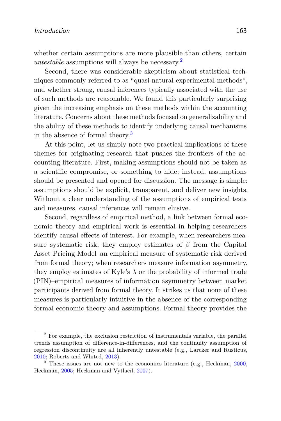whether certain assumptions are more plausible than others, certain *untestable* assumptions will always be necessary.<sup>2</sup>

Second, there was considerable skepticism about statistical techniques commonly referred to as "quasi-natural experimental methods", and whether strong, causal inferences typically associated with the use of such methods are reasonable. We found this particularly surprising given the increasing emphasis on these methods within the accounting literature. Concerns about these methods focused on generalizability and the ability of these methods to identify underlying causal mechanisms in the absence of formal theory.<sup>3</sup>

At this point, let us simply note two practical implications of these themes for originating research that pushes the frontiers of the accounting literature. First, making assumptions should not be taken as a scientific compromise, or something to hide; instead, assumptions should be presented and opened for discussion. The message is simple: assumptions should be explicit, transparent, and deliver new insights. Without a clear understanding of the assumptions of empirical tests and measures, causal inferences will remain elusive.

Second, regardless of empirical method, a link between formal economic theory and empirical work is essential in helping researchers identify causal effects of interest. For example, when researchers measure systematic risk, they employ estimates of  $\beta$  from the Capital Asset Pricing Model–an empirical measure of systematic risk derived from formal theory; when researchers measure information asymmetry, they employ estimates of Kyle's  $\lambda$  or the probability of informed trade (PIN)–empirical measures of information asymmetry between market participants derived from formal theory. It strikes us that none of these measures is particularly intuitive in the absence of the corresponding formal economic theory and assumptions. Formal theory provides the

 $2$  For example, the exclusion restriction of instrumentals variable, the parallel trends assumption of difference-in-differences, and the continuity assumption of regression discontinuity are all inherently untestable (e.g., Larcker and Rusticus, 2010; Roberts and Whited, 2013).

 $3$  These issues are not new to the economics literature (e.g., Heckman, 2000, Heckman, 2005; Heckman and Vytlacil, 2007).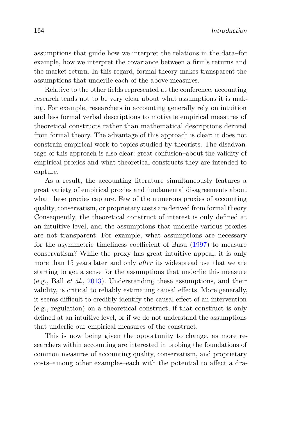assumptions that guide how we interpret the relations in the data–for example, how we interpret the covariance between a firm's returns and the market return. In this regard, formal theory makes transparent the assumptions that underlie each of the above measures.

Relative to the other fields represented at the conference, accounting research tends not to be very clear about what assumptions it is making. For example, researchers in accounting generally rely on intuition and less formal verbal descriptions to motivate empirical measures of theoretical constructs rather than mathematical descriptions derived from formal theory. The advantage of this approach is clear: it does not constrain empirical work to topics studied by theorists. The disadvantage of this approach is also clear: great confusion–about the validity of empirical proxies and what theoretical constructs they are intended to capture.

As a result, the accounting literature simultaneously features a great variety of empirical proxies and fundamental disagreements about what these proxies capture. Few of the numerous proxies of accounting quality, conservatism, or proprietary costs are derived from formal theory. Consequently, the theoretical construct of interest is only defined at an intuitive level, and the assumptions that underlie various proxies are not transparent. For example, what assumptions are necessary for the asymmetric timeliness coefficient of Basu (1997) to measure conservatism? While the proxy has great intuitive appeal, it is only more than 15 years later–and only *after* its widespread use–that we are starting to get a sense for the assumptions that underlie this measure (e.g., Ball *et al.*, 2013). Understanding these assumptions, and their validity, is critical to reliably estimating causal effects. More generally, it seems difficult to credibly identify the causal effect of an intervention (e.g., regulation) on a theoretical construct, if that construct is only defined at an intuitive level, or if we do not understand the assumptions that underlie our empirical measures of the construct.

This is now being given the opportunity to change, as more researchers within accounting are interested in probing the foundations of common measures of accounting quality, conservatism, and proprietary costs–among other examples–each with the potential to affect a dra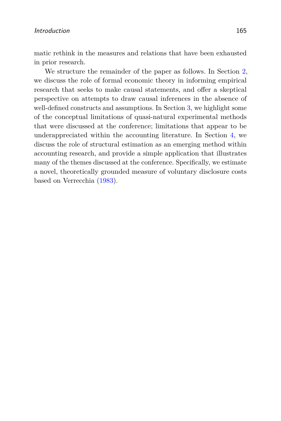matic rethink in the measures and relations that have been exhausted in prior research.

We structure the remainder of the paper as follows. In Section 2, we discuss the role of formal economic theory in informing empirical research that seeks to make causal statements, and offer a skeptical perspective on attempts to draw causal inferences in the absence of well-defined constructs and assumptions. In Section 3, we highlight some of the conceptual limitations of quasi-natural experimental methods that were discussed at the conference; limitations that appear to be underappreciated within the accounting literature. In Section 4, we discuss the role of structural estimation as an emerging method within accounting research, and provide a simple application that illustrates many of the themes discussed at the conference. Specifically, we estimate a novel, theoretically grounded measure of voluntary disclosure costs based on Verrecchia (1983).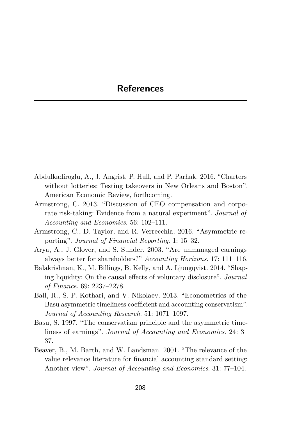## **References**

- Abdulkadiroglu, A., J. Angrist, P. Hull, and P. Parhak. 2016. "Charters without lotteries: Testing takeovers in New Orleans and Boston". American Economic Review, forthcoming.
- Armstrong, C. 2013. "Discussion of CEO compensation and corporate risk-taking: Evidence from a natural experiment". *Journal of Accounting and Economics*. 56: 102–111.
- Armstrong, C., D. Taylor, and R. Verrecchia. 2016. "Asymmetric reporting". *Journal of Financial Reporting*. 1: 15–32.
- Arya, A., J. Glover, and S. Sunder. 2003. "Are unmanaged earnings always better for shareholders?" *Accounting Horizons*. 17: 111–116.
- Balakrishnan, K., M. Billings, B. Kelly, and A. Ljungqvist. 2014. "Shaping liquidity: On the causal effects of voluntary disclosure". *Journal of Finance*. 69: 2237–2278.
- Ball, R., S. P. Kothari, and V. Nikolaev. 2013. "Econometrics of the Basu asymmetric timeliness coefficient and accounting conservatism". *Journal of Accounting Research*. 51: 1071–1097.
- Basu, S. 1997. "The conservatism principle and the asymmetric timeliness of earnings". *Journal of Accounting and Economics*. 24: 3– 37.
- Beaver, B., M. Barth, and W. Landsman. 2001. "The relevance of the value relevance literature for financial accounting standard setting: Another view". *Journal of Accounting and Economics*. 31: 77–104.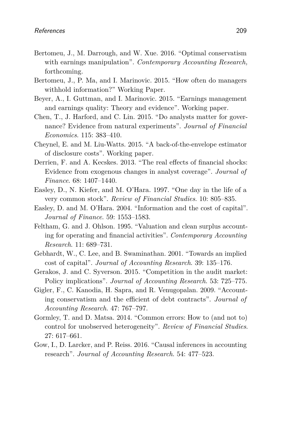- Bertomeu, J., M. Darrough, and W. Xue. 2016. "Optimal conservatism with earnings manipulation". *Contemporary Accounting Research,* forthcoming.
- Bertomeu, J., P. Ma, and I. Marinovic. 2015. "How often do managers withhold information?" Working Paper.
- Beyer, A., I. Guttman, and I. Marinovic. 2015. "Earnings management and earnings quality: Theory and evidence". Working paper.
- Chen, T., J. Harford, and C. Lin. 2015. "Do analysts matter for governance? Evidence from natural experiments". *Journal of Financial Economics*. 115: 383–410.
- Cheynel, E. and M. Liu-Watts. 2015. "A back-of-the-envelope estimator of disclosure costs". Working paper.
- Derrien, F. and A. Kecskes. 2013. "The real effects of financial shocks: Evidence from exogenous changes in analyst coverage". *Journal of Finance*. 68: 1407–1440.
- Easley, D., N. Kiefer, and M. O'Hara. 1997. "One day in the life of a very common stock". *Review of Financial Studies*. 10: 805–835.
- Easley, D. and M. O'Hara. 2004. "Information and the cost of capital". *Journal of Finance*. 59: 1553–1583.
- Feltham, G. and J. Ohlson. 1995. "Valuation and clean surplus accounting for operating and financial activities". *Contemporary Accounting Research*. 11: 689–731.
- Gebhardt, W., C. Lee, and B. Swaminathan. 2001. "Towards an implied cost of capital". *Journal of Accounting Research*. 39: 135–176.
- Gerakos, J. and C. Syverson. 2015. "Competition in the audit market: Policy implications". *Journal of Accounting Research*. 53: 725–775.
- Gigler, F., C. Kanodia, H. Sapra, and R. Venugopalan. 2009. "Accounting conservatism and the efficient of debt contracts". *Journal of Accounting Research*. 47: 767–797.
- Gormley, T. and D. Matsa. 2014. "Common errors: How to (and not to) control for unobserved heterogeneity". *Review of Financial Studies*. 27: 617–661.
- Gow, I., D. Larcker, and P. Reiss. 2016. "Causal inferences in accounting research". *Journal of Accounting Research*. 54: 477–523.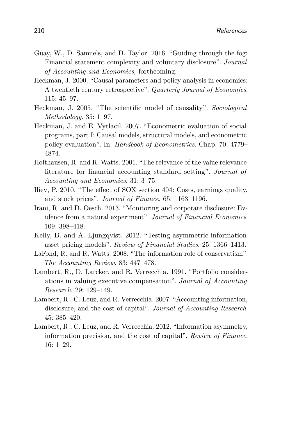- Guay, W., D. Samuels, and D. Taylor. 2016. "Guiding through the fog: Financial statement complexity and voluntary disclosure". *Journal of Accounting and Economics,* forthcoming.
- Heckman, J. 2000. "Causal parameters and policy analysis in economics: A twentieth century retrospective". *Quarterly Journal of Economics*. 115: 45–97.
- Heckman, J. 2005. "The scientific model of causality". *Sociological Methodology*. 35: 1–97.
- Heckman, J. and E. Vytlacil. 2007. "Econometric evaluation of social programs, part I: Causal models, structural models, and econometric policy evaluation". In: *Handbook of Econometrics*. Chap. 70. 4779– 4874.
- Holthausen, R. and R. Watts. 2001. "The relevance of the value relevance literature for financial accounting standard setting". *Journal of Accounting and Economics*. 31: 3–75.
- Iliev, P. 2010. "The effect of SOX section 404: Costs, earnings quality, and stock prices". *Journal of Finance*. 65: 1163–1196.
- Irani, R. and D. Oesch. 2013. "Monitoring and corporate disclosure: Evidence from a natural experiment". *Journal of Financial Economics*. 109: 398–418.
- Kelly, B. and A. Ljungqvist. 2012. "Testing asymmetric-information asset pricing models". *Review of Financial Studies*. 25: 1366–1413.
- LaFond, R. and R. Watts. 2008. "The information role of conservatism". *The Accounting Review*. 83: 447–478.
- Lambert, R., D. Larcker, and R. Verrecchia. 1991. "Portfolio considerations in valuing executive compensation". *Journal of Accounting Research*. 29: 129–149.
- Lambert, R., C. Leuz, and R. Verrecchia. 2007. "Accounting information, disclosure, and the cost of capital". *Journal of Accounting Research*. 45: 385–420.
- Lambert, R., C. Leuz, and R. Verrecchia. 2012. "Information asymmetry, information precision, and the cost of capital". *Review of Finance*. 16: 1–29.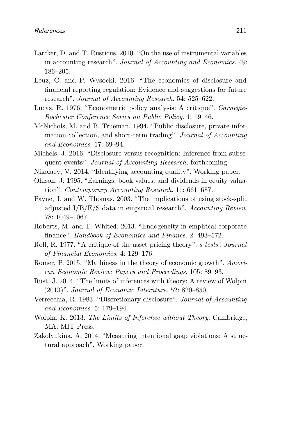- Larcker, D. and T. Rusticus. 2010. "On the use of instrumental variables in accounting research". *Journal of Accounting and Economics*. 49: 186–205.
- Leuz, C. and P. Wysocki. 2016. "The economics of disclosure and financial reporting regulation: Evidence and suggestions for future research". *Journal of Accounting Research*. 54: 525–622.
- Lucas, R. 1976. "Econometric policy analysis: A critique". *Carnegie-Rochester Conference Series on Public Policy*. 1: 19–46.
- McNichols, M. and B. Trueman. 1994. "Public disclosure, private information collection, and short-term trading". *Journal of Accounting and Economics*. 17: 69–94.
- Michels, J. 2016. "Disclosure versus recognition: Inference from subsequent events". *Journal of Accounting Research,* forthcoming.
- Nikolaev, V. 2014. "Identifying accounting quality". Working paper.
- Ohlson, J. 1995. "Earnings, book values, and dividends in equity valuation". *Contemporary Accounting Research*. 11: 661–687.
- Payne, J. and W. Thomas. 2003. "The implications of using stock-split adjusted I/B/E/S data in empirical research". *Accounting Review*. 78: 1049–1067.
- Roberts, M. and T. Whited. 2013. "Endogeneity in empirical corporate finance". *Handbook of Economics and Finance*. 2: 493–572.
- Roll, R. 1977. "A critique of the asset pricing theory". *s tests'. Journal of Financial Economics*. 4: 129–176.
- Romer, P. 2015. "Mathiness in the theory of economic growth". *American Economic Review: Papers and Proceedings*. 105: 89–93.
- Rust, J. 2014. "The limits of inferences with theory: A review of Wolpin (2013)". *Journal of Economic Literature*. 52: 820–850.
- Verrecchia, R. 1983. "Discretionary disclosure". *Journal of Accounting and Economics*. 5: 179–194.
- Wolpin, K. 2013. *The Limits of Inference without Theory*. Cambridge, MA: MIT Press.
- Zakolyukina, A. 2014. "Measuring intentional gaap violations: A structural approach". Working paper.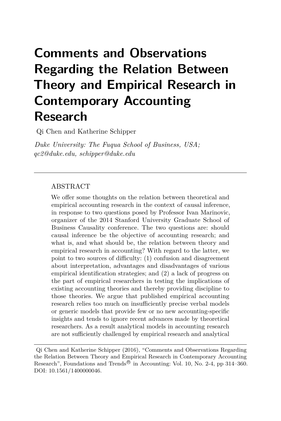# <span id="page-53-0"></span>**Comments and Observations Regarding the Relation Between Theory and Empirical Research in Contemporary Accounting Research**

Qi Chen and Katherine Schipper

*Duke University: The Fuqua School of Business, USA; qc2@duke.edu, schipper@duke.edu*

#### ABSTRACT

We offer some thoughts on the relation between theoretical and empirical accounting research in the context of causal inference, in response to two questions posed by Professor Ivan Marinovic, organizer of the 2014 Stanford University Graduate School of Business Causality conference. The two questions are: should causal inference be the objective of accounting research; and what is, and what should be, the relation between theory and empirical research in accounting? With regard to the latter, we point to two sources of difficulty: (1) confusion and disagreement about interpretation, advantages and disadvantages of various empirical identification strategies; and (2) a lack of progress on the part of empirical researchers in testing the implications of existing accounting theories and thereby providing discipline to those theories. We argue that published empirical accounting research relies too much on insufficiently precise verbal models or generic models that provide few or no new accounting-specific insights and tends to ignore recent advances made by theoretical researchers. As a result analytical models in accounting research are not sufficiently challenged by empirical research and analytical

Qi Chen and Katherine Schipper (2016), "Comments and Observations Regarding the Relation Between Theory and Empirical Research in Contemporary Accounting Research", Foundations and Trends<sup>®</sup> in Accounting: Vol. 10, No. 2-4, pp 314–360. DOI: 10.1561/1400000046.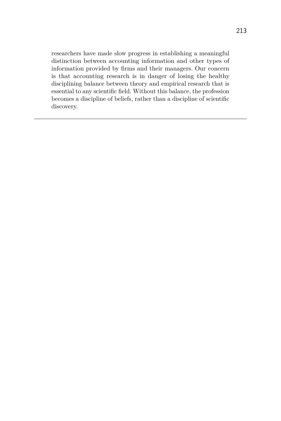researchers have made slow progress in establishing a meaningful distinction between accounting information and other types of information provided by firms and their managers. Our concern is that accounting research is in danger of losing the healthy disciplining balance between theory and empirical research that is essential to any scientific field. Without this balance, the profession becomes a discipline of beliefs, rather than a discipline of scientific discovery.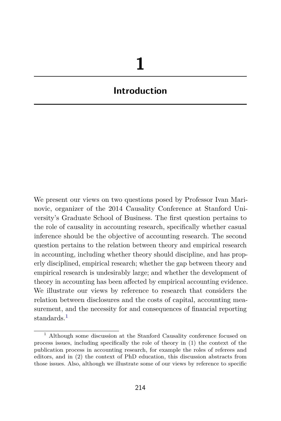### **Introduction**

We present our views on two questions posed by Professor Ivan Marinovic, organizer of the 2014 Causality Conference at Stanford University's Graduate School of Business. The first question pertains to the role of causality in accounting research, specifically whether casual inference should be the objective of accounting research. The second question pertains to the relation between theory and empirical research in accounting, including whether theory should discipline, and has properly disciplined, empirical research; whether the gap between theory and empirical research is undesirably large; and whether the development of theory in accounting has been affected by empirical accounting evidence. We illustrate our views by reference to research that considers the relation between disclosures and the costs of capital, accounting measurement, and the necessity for and consequences of financial reporting standards<sup>1</sup>

 $^{\rm 1}$  Although some discussion at the Stanford Causality conference focused on process issues, including specifically the role of theory in (1) the context of the publication process in accounting research, for example the roles of referees and editors, and in (2) the context of PhD education, this discussion abstracts from those issues. Also, although we illustrate some of our views by reference to specific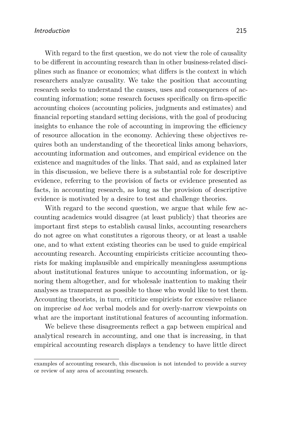With regard to the first question, we do not view the role of causality to be different in accounting research than in other business-related disciplines such as finance or economics; what differs is the context in which researchers analyze causality. We take the position that accounting research seeks to understand the causes, uses and consequences of accounting information; some research focuses specifically on firm-specific accounting choices (accounting policies, judgments and estimates) and financial reporting standard setting decisions, with the goal of producing insights to enhance the role of accounting in improving the efficiency of resource allocation in the economy. Achieving these objectives requires both an understanding of the theoretical links among behaviors, accounting information and outcomes, and empirical evidence on the existence and magnitudes of the links. That said, and as explained later in this discussion, we believe there is a substantial role for descriptive evidence, referring to the provision of facts or evidence presented as facts, in accounting research, as long as the provision of descriptive evidence is motivated by a desire to test and challenge theories.

With regard to the second question, we argue that while few accounting academics would disagree (at least publicly) that theories are important first steps to establish causal links, accounting researchers do not agree on what constitutes a rigorous theory, or at least a usable one, and to what extent existing theories can be used to guide empirical accounting research. Accounting empiricists criticize accounting theorists for making implausible and empirically meaningless assumptions about institutional features unique to accounting information, or ignoring them altogether, and for wholesale inattention to making their analyses as transparent as possible to those who would like to test them. Accounting theorists, in turn, criticize empiricists for excessive reliance on imprecise *ad hoc* verbal models and for overly-narrow viewpoints on what are the important institutional features of accounting information.

We believe these disagreements reflect a gap between empirical and analytical research in accounting, and one that is increasing, in that empirical accounting research displays a tendency to have little direct

examples of accounting research, this discussion is not intended to provide a survey or review of any area of accounting research.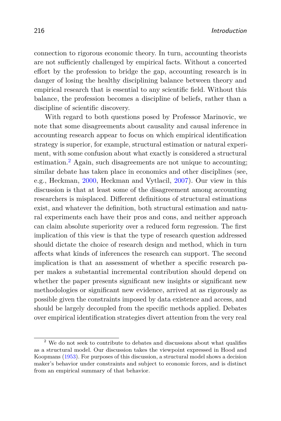connection to rigorous economic theory. In turn, accounting theorists are not sufficiently challenged by empirical facts. Without a concerted effort by the profession to bridge the gap, accounting research is in danger of losing the healthy disciplining balance between theory and empirical research that is essential to any scientific field. Without this balance, the profession becomes a discipline of beliefs, rather than a discipline of scientific discovery.

With regard to both questions posed by Professor Marinovic, we note that some disagreements about causality and causal inference in accounting research appear to focus on which empirical identification strategy is superior, for example, structural estimation or natural experiment, with some confusion about what exactly is considered a structural estimation.<sup>2</sup> Again, such disagreements are not unique to accounting; similar debate has taken place in economics and other disciplines (see, e.g., Heckman, 2000, Heckman and Vytlacil, 2007). Our view in this discussion is that at least some of the disagreement among accounting researchers is misplaced. Different definitions of structural estimations exist, and whatever the definition, both structural estimation and natural experiments each have their pros and cons, and neither approach can claim absolute superiority over a reduced form regression. The first implication of this view is that the type of research question addressed should dictate the choice of research design and method, which in turn affects what kinds of inferences the research can support. The second implication is that an assessment of whether a specific research paper makes a substantial incremental contribution should depend on whether the paper presents significant new insights or significant new methodologies or significant new evidence, arrived at as rigorously as possible given the constraints imposed by data existence and access, and should be largely decoupled from the specific methods applied. Debates over empirical identification strategies divert attention from the very real

 $2$  We do not seek to contribute to debates and discussions about what qualifies as a structural model. Our discussion takes the viewpoint expressed in Hood and Koopmans (1953). For purposes of this discussion, a structural model shows a decision maker's behavior under constraints and subject to economic forces, and is distinct from an empirical summary of that behavior.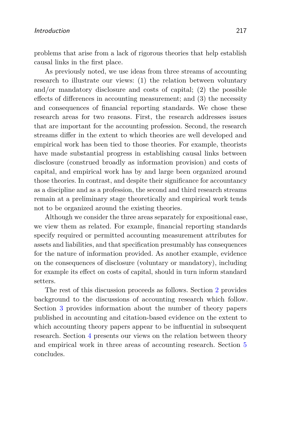problems that arise from a lack of rigorous theories that help establish causal links in the first place.

As previously noted, we use ideas from three streams of accounting research to illustrate our views: (1) the relation between voluntary and/or mandatory disclosure and costs of capital; (2) the possible effects of differences in accounting measurement; and (3) the necessity and consequences of financial reporting standards. We chose these research areas for two reasons. First, the research addresses issues that are important for the accounting profession. Second, the research streams differ in the extent to which theories are well developed and empirical work has been tied to those theories. For example, theorists have made substantial progress in establishing causal links between disclosure (construed broadly as information provision) and costs of capital, and empirical work has by and large been organized around those theories. In contrast, and despite their significance for accountancy as a discipline and as a profession, the second and third research streams remain at a preliminary stage theoretically and empirical work tends not to be organized around the existing theories.

Although we consider the three areas separately for expositional ease, we view them as related. For example, financial reporting standards specify required or permitted accounting measurement attributes for assets and liabilities, and that specification presumably has consequences for the nature of information provided. As another example, evidence on the consequences of disclosure (voluntary or mandatory), including for example its effect on costs of capital, should in turn inform standard setters.

The rest of this discussion proceeds as follows. Section 2 provides background to the discussions of accounting research which follow. Section 3 provides information about the number of theory papers published in accounting and citation-based evidence on the extent to which accounting theory papers appear to be influential in subsequent research. Section 4 presents our views on the relation between theory and empirical work in three areas of accounting research. Section 5 concludes.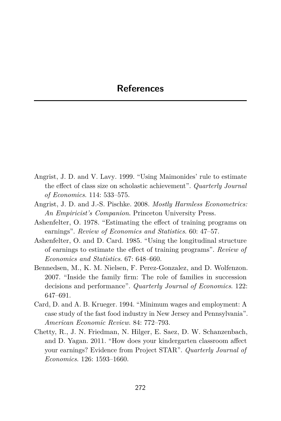## **References**

- Angrist, J. D. and V. Lavy. 1999. "Using Maimonides' rule to estimate the effect of class size on scholastic achievement". *Quarterly Journal of Economics*. 114: 533–575.
- Angrist, J. D. and J.-S. Pischke. 2008. *Mostly Harmless Econometrics: An Empiricist's Companion*. Princeton University Press.
- Ashenfelter, O. 1978. "Estimating the effect of training programs on earnings". *Review of Economics and Statistics*. 60: 47–57.
- Ashenfelter, O. and D. Card. 1985. "Using the longitudinal structure of earnings to estimate the effect of training programs". *Review of Economics and Statistics*. 67: 648–660.
- Bennedsen, M., K. M. Nielsen, F. Perez-Gonzalez, and D. Wolfenzon. 2007. "Inside the family firm: The role of families in succession decisions and performance". *Quarterly Journal of Economics*. 122: 647–691.
- Card, D. and A. B. Krueger. 1994. "Minimum wages and employment: A case study of the fast food industry in New Jersey and Pennsylvania". *American Economic Review*. 84: 772–793.
- Chetty, R., J. N. Friedman, N. Hilger, E. Saez, D. W. Schanzenbach, and D. Yagan. 2011. "How does your kindergarten classroom affect your earnings? Evidence from Project STAR". *Quarterly Journal of Economics*. 126: 1593–1660.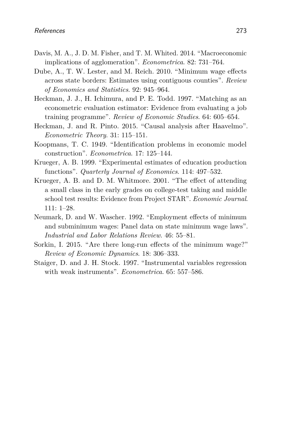- Davis, M. A., J. D. M. Fisher, and T. M. Whited. 2014. "Macroeconomic implications of agglomeration". *Econometrica*. 82: 731–764.
- Dube, A., T. W. Lester, and M. Reich. 2010. "Minimum wage effects across state borders: Estimates using contiguous counties". *Review of Economics and Statistics*. 92: 945–964.
- Heckman, J. J., H. Ichimura, and P. E. Todd. 1997. "Matching as an econometric evaluation estimator: Evidence from evaluating a job training programme". *Review of Economic Studies*. 64: 605–654.
- Heckman, J. and R. Pinto. 2015. "Causal analysis after Haavelmo". *Econometric Theory*. 31: 115–151.
- Koopmans, T. C. 1949. "Identification problems in economic model construction". *Econometrica*. 17: 125–144.
- Krueger, A. B. 1999. "Experimental estimates of education production functions". *Quarterly Journal of Economics*. 114: 497–532.
- Krueger, A. B. and D. M. Whitmore. 2001. "The effect of attending a small class in the early grades on college-test taking and middle school test results: Evidence from Project STAR". *Economic Journal*. 111: 1–28.
- Neumark, D. and W. Wascher. 1992. "Employment effects of minimum and subminimum wages: Panel data on state minimum wage laws". *Industrial and Labor Relations Review*. 46: 55–81.
- Sorkin, I. 2015. "Are there long-run effects of the minimum wage?" *Review of Economic Dynamics*. 18: 306–333.
- Staiger, D. and J. H. Stock. 1997. "Instrumental variables regression with weak instruments". *Econometrica*. 65: 557–586.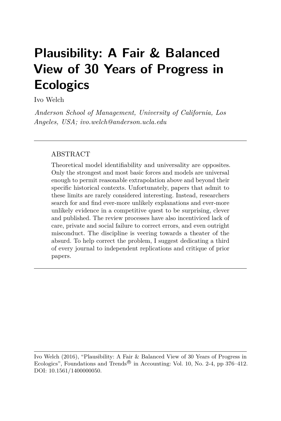# <span id="page-61-0"></span>**Plausibility: A Fair & Balanced View of 30 Years of Progress in Ecologics**

Ivo Welch

*Anderson School of Management, University of California, Los Angeles, USA; ivo.welch@anderson.ucla.edu*

#### ABSTRACT

Theoretical model identifiability and universality are opposites. Only the strongest and most basic forces and models are universal enough to permit reasonable extrapolation above and beyond their specific historical contexts. Unfortunately, papers that admit to these limits are rarely considered interesting. Instead, researchers search for and find ever-more unlikely explanations and ever-more unlikely evidence in a competitive quest to be surprising, clever and published. The review processes have also incentiviced lack of care, private and social failure to correct errors, and even outright misconduct. The discipline is veering towards a theater of the absurd. To help correct the problem, I suggest dedicating a third of every journal to independent replications and critique of prior papers.

Ivo Welch (2016), "Plausibility: A Fair & Balanced View of 30 Years of Progress in Ecologics", Foundations and Trends<sup>®</sup> in Accounting: Vol. 10, No. 2-4, pp 376–412. DOI: 10.1561/1400000050.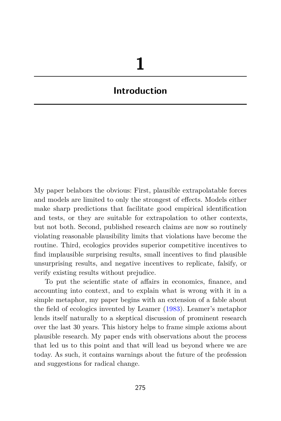## **Introduction**

My paper belabors the obvious: First, plausible extrapolatable forces and models are limited to only the strongest of effects. Models either make sharp predictions that facilitate good empirical identification and tests, or they are suitable for extrapolation to other contexts, but not both. Second, published research claims are now so routinely violating reasonable plausibility limits that violations have become the routine. Third, ecologics provides superior competitive incentives to find implausible surprising results, small incentives to find plausible unsurprising results, and negative incentives to replicate, falsify, or verify existing results without prejudice.

To put the scientific state of affairs in economics, finance, and accounting into context, and to explain what is wrong with it in a simple metaphor, my paper begins with an extension of a fable about the field of ecologics invented by Leamer (1983). Leamer's metaphor lends itself naturally to a skeptical discussion of prominent research over the last 30 years. This history helps to frame simple axioms about plausible research. My paper ends with observations about the process that led us to this point and that will lead us beyond where we are today. As such, it contains warnings about the future of the profession and suggestions for radical change.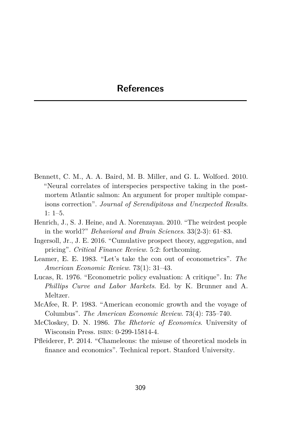## **References**

- Bennett, C. M., A. A. Baird, M. B. Miller, and G. L. Wolford. 2010. "Neural correlates of interspecies perspective taking in the postmortem Atlantic salmon: An argument for proper multiple comparisons correction". *Journal of Serendipitous and Unexpected Results*. 1: 1–5.
- Henrich, J., S. J. Heine, and A. Norenzayan. 2010. "The weirdest people in the world?" *Behavioral and Brain Sciences*. 33(2-3): 61–83.
- Ingersoll, Jr., J. E. 2016. "Cumulative prospect theory, aggregation, and pricing". *Critical Finance Review*. 5:2: forthcoming.
- Leamer, E. E. 1983. "Let's take the con out of econometrics". *The American Economic Review*. 73(1): 31–43.
- Lucas, R. 1976. "Econometric policy evaluation: A critique". In: *The Phillips Curve and Labor Markets*. Ed. by K. Brunner and A. Meltzer.
- McAfee, R. P. 1983. "American economic growth and the voyage of Columbus". *The American Economic Review*. 73(4): 735–740.
- McCloskey, D. N. 1986. *The Rhetoric of Economics*. University of Wisconsin Press. ISBN: 0-299-15814-4.
- Pfleiderer, P. 2014. "Chameleons: the misuse of theoretical models in finance and economics". Technical report. Stanford University.